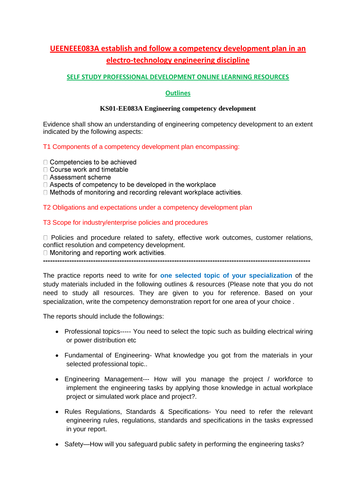## **UEENEEE083A establish and follow a competency development plan in an electro-technology engineering discipline**

## **SELF STUDY PROFESSIONAL DEVELOPMENT ONLINE LEARNING RESOURCES**

## **Outlines**

## **KS01-EE083A Engineering competency development**

Evidence shall show an understanding of engineering competency development to an extent indicated by the following aspects:

## T1 Components of a competency development plan encompassing:

□ Competencies to be achieved

- $\Box$  Course work and timetable
- □ Assessment scheme

 $\Box$  Aspects of competency to be developed in the workplace

□ Methods of monitoring and recording relevant workplace activities.

## T2 Obligations and expectations under a competency development plan

## T3 Scope for industry/enterprise policies and procedures

 $\Box$  Policies and procedure related to safety, effective work outcomes, customer relations, conflict resolution and competency development.<br>  $\Box$  Monitoring and reporting work activities.

**----------------------------------------------------------------------------------------------------------------**

The practice reports need to write for **one selected topic of your specialization** of the study materials included in the following outlines & resources (Please note that you do not need to study all resources. They are given to you for reference. Based on your specialization, write the competency demonstration report for one area of your choice .

The reports should include the followings:

- Professional topics----- You need to select the topic such as building electrical wiring or power distribution etc
- Fundamental of Engineering- What knowledge you got from the materials in your selected professional topic..
- Engineering Management--- How will you manage the project / workforce to implement the engineering tasks by applying those knowledge in actual workplace project or simulated work place and project?.
- Rules Regulations, Standards & Specifications- You need to refer the relevant engineering rules, regulations, standards and specifications in the tasks expressed in your report.
- Safety—How will you safeguard public safety in performing the engineering tasks?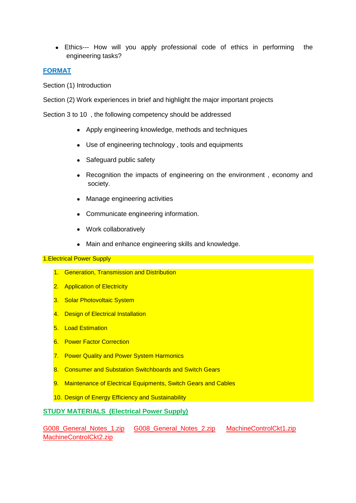Ethics--- How will you apply professional code of ethics in performing the engineering tasks?

## **FORMAT**

Section (1) Introduction

Section (2) Work experiences in brief and highlight the major important projects

Section 3 to 10 , the following competency should be addressed

- Apply engineering knowledge, methods and techniques
- Use of engineering technology , tools and equipments
- Safeguard public safety
- Recognition the impacts of engineering on the environment, economy and society.
- Manage engineering activities
- Communicate engineering information.
- Work collaboratively
- Main and enhance engineering skills and knowledge.

#### 1.Electrical Power Supply

- 1. Generation, Transmission and Distribution
- 2. Application of Electricity
- 3. Solar Photovoltaic System
- 4. Design of Electrical Installation
- 5. Load Estimation
- 6. Power Factor Correction
- 7. Power Quality and Power System Harmonics
- 8. Consumer and Substation Switchboards and Switch Gears
- 9. Maintenance of Electrical Equipments, Switch Gears and Cables
- 10. Design of Energy Efficiency and Sustainability

## **STUDY MATERIALS (Electrical Power Supply)**

G008 General Notes 1.zip G008 General Notes 2.zip MachineControlCkt1.zip [MachineControlCkt2.zip](http://advanceddiplomastage4g.zoomshare.com/files/MachineControlCkt2.zip)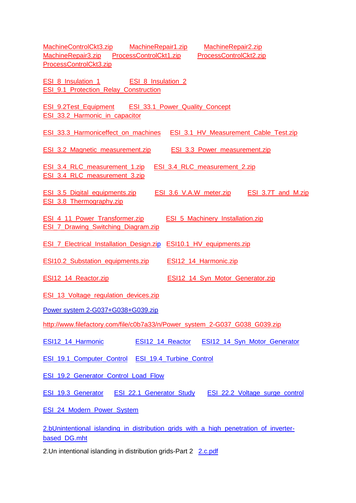[MachineControlCkt3.zip](http://advanceddiplomastage4g.zoomshare.com/files/MachineControlCkt3.zip) [MachineRepair1.zip](http://advanceddiplomastage4g.zoomshare.com/files/MachineRepair1.zip) [MachineRepair2.zip](http://advanceddiplomastage4g.zoomshare.com/files/MachineRepair2.zip)  [MachineRepair3.zip](http://advanceddiplomastage4g.zoomshare.com/files/MachineRepair3.zip) [ProcessControlCkt1.zip](http://advanceddiplomastage4g.zoomshare.com/files/ProcessControlCkt1.zip) ProcessControlCkt2.zip [ProcessControlCkt3.zip](http://advanceddiplomastage4g.zoomshare.com/files/ProcessControlCkt3.zip) [ESI\\_8\\_Insulation\\_1](http://powersemester3.zoomshare.com/files/ESI_8_Insulation_1.zip) ESI\_8\_Insulation\_2 [ESI\\_9.1\\_Protection\\_Relay\\_Construction](http://powersemester3.zoomshare.com/files/ESI_9.1_Protection_Relay_Construction.zip) [ESI\\_9.2Test\\_Equipment](http://powersemester3.zoomshare.com/files/ESI_9.2Test_Equipment.zip) [ESI\\_33.1\\_Power\\_Quality\\_Concept](http://powersemester3.zoomshare.com/files/ESI_33.1_Power_Quality_Concept.zip)  [ESI\\_33.2\\_Harmonic\\_in\\_capacitor](http://powersemester3.zoomshare.com/files/ESI_33.2_Harmonic_in_capacitor.zip) [ESI\\_33.3\\_Harmoniceffect\\_on\\_machines](http://powersemester3.zoomshare.com/files/ESI_33.3_Harmoniceffect_on_machines.zip) [ESI\\_3.1\\_HV\\_Measurement\\_Cable\\_Test.zip](http://esipowersystem1.zoomshare.com/files/ESI_3.1_HV_Measurement_Cable_Test.zip) ESI 3.2 Magnetic measurement.zip ESI 3.3 Power measurement.zip [ESI\\_3.4\\_RLC\\_measurement\\_1.zip](http://esipowersystem1.zoomshare.com/files/ESI_3.4_RLC_measurement_1.zip) [ESI\\_3.4\\_RLC\\_measurement\\_2.zip](http://esipowersystem1.zoomshare.com/files/ESI_3.4_RLC_measurement_2.zip)  [ESI\\_3.4\\_RLC\\_measurement\\_3.zip](http://esipowersystem1.zoomshare.com/files/ESI_3.4_RLC_measurement_3.zip) [ESI\\_3.5\\_Digital\\_equipments.zip](http://esipowersystem1.zoomshare.com/files/ESI_3.5_Digital_equipments.zip) [ESI\\_3.6\\_V.A.W\\_meter.zip](http://esipowersystem1.zoomshare.com/files/ESI_3.6_V.A.W_meter.zip) [ESI\\_3.7T\\_and\\_M.zip](http://esipowersystem1.zoomshare.com/files/ESI_3.7T_and_M.zip) ESI 3.8 Thermography.zip [ESI\\_4\\_11\\_Power\\_Transformer.zip](http://esipowersystem1.zoomshare.com/files/ESI_4_11_Power_Transformer.zip) [ESI\\_5\\_Machinery\\_Installation.zip](http://esipowersystem1.zoomshare.com/files/ESI_5_Machinery_Installation.zip) ESI 7 Drawing Switching Diagram.zip [ESI\\_7\\_Electrical\\_Installation\\_Design.zip](http://esipowersystem1.zoomshare.com/files/ESI_7_Electrical_Installation_Design.zip) [ESI10.1\\_HV\\_equipments.zip](http://esipowersystem1.zoomshare.com/files/ESI10.1_HV_equipments.zip) ESI10.2 Substation equipments.zip ESI12\_14 Harmonic.zip [ESI12\\_14\\_Reactor.zip](http://esipowersystem1.zoomshare.com/files/ESI12_14_Reactor.zip) **[ESI12\\_14\\_Syn\\_Motor\\_Generator.zip](http://esipowersystem1.zoomshare.com/files/ESI12_14_Syn_Motor_Generator.zip)** [ESI\\_13\\_Voltage\\_regulation\\_devices.zip](http://esipowersystem1.zoomshare.com/files/ESI_13_Voltage_regulation_devices.zip) [Power system 2-G037+G038+G039.zip](http://www.filefactory.com/file/c0b7a33/n/Power_system_2-G037_G038_G039.zip)  [http://www.filefactory.com/file/c0b7a33/n/Power\\_system\\_2-G037\\_G038\\_G039.zip](http://www.filefactory.com/file/c0b7a33/n/Power_system_2-G037_G038_G039.zip) [ESI12\\_14\\_Harmonic](http://powersemester3.zoomshare.com/files/ESI12_14_Harmonic.zip) [ESI12\\_14\\_Reactor](http://powersemester3.zoomshare.com/files/ESI12_14_Reactor.zip) [ESI12\\_14\\_Syn\\_Motor\\_Generator](http://powersemester3.zoomshare.com/files/ESI12_14_Syn_Motor_Generator.zip) [ESI\\_19.1\\_Computer\\_Control](http://powersemester3.zoomshare.com/files/ESI_19.1_Computer_Control.zip) [ESI\\_19.4\\_Turbine\\_Control](http://powersemester3.zoomshare.com/files/ESI_19.4_Turbine_Control.zip) [ESI\\_19.2\\_Generator\\_Control\\_Load\\_Flow](http://powersemester3.zoomshare.com/files/ESI_19.2_Generator_Control_Load_Flow.zip) [ESI\\_19.3\\_Generator](http://powersemester3.zoomshare.com/files/ESI_19.3_Generator_.zip) [ESI\\_22.1\\_Generator\\_Study](http://powersemester3.zoomshare.com/files/ESI_22.1_Generator_Study.zip) [ESI\\_22.2\\_Voltage\\_surge\\_control](http://powersemester3.zoomshare.com/files/ESI_22.2_Voltage_surge_control.zip) ESI 24 Modern Power System [2.bUnintentional\\_islanding\\_in\\_distribution\\_grids\\_with\\_a\\_high\\_penetration\\_of\\_inverter](http://kyawnaing725a.zoomshare.com/files/AM/2.b-Unintentional_islanding_in_distribution_grids_with_a_high_penetration_of_inverter-based_DG.mht)[based\\_DG.mht](http://kyawnaing725a.zoomshare.com/files/AM/2.b-Unintentional_islanding_in_distribution_grids_with_a_high_penetration_of_inverter-based_DG.mht)

2.Un intentional islanding in distribution grids-Part 2 [2.c.pdf](http://kyawnaing725a.zoomshare.com/files/AM/2.c.pdf)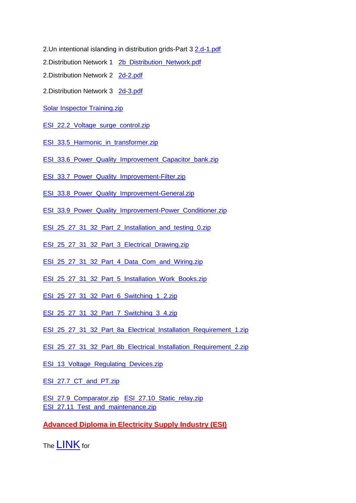- 2.Un intentional islanding in distribution grids-Part 3 [2.d-1.pdf](http://kyawnaing725a.zoomshare.com/files/AM/2.d-1.pdf)
- 2.Distribution Network 1 2b Distribution Network.pdf
- 2.Distribution Network 2 [2d-2.pdf](http://kyawnaing725a.zoomshare.com/files/AM/2d-2.pdf)
- 2. Distribution Network 3 [2d-3.pdf](http://kyawnaing725a.zoomshare.com/files/AM/2d-3.pdf)
- [Solar Inspector Training.zip](http://www.filefactory.com/file/c0a333e/n/Solar_Inspector_Training.zip)
- [ESI\\_22.2\\_Voltage\\_surge\\_control.zip](http://esipowersystem2.zoomshare.com/files/ESI_22.2_Voltage_surge_control.zip)
- [ESI\\_33.5\\_Harmonic\\_in\\_transformer.zip](http://esipowersystem2.zoomshare.com/files/ESI_33.5_Harmonic_in_transformer.zip)
- ESI\_33.6\_Power\_Quality\_Improvement\_Capacitor\_bank.zip
- [ESI\\_33.7\\_Power\\_Quality\\_Improvement-Filter.zip](http://esipowersystem2.zoomshare.com/files/ESI_33.7_Power_Quality_Improvement-Filter.zip)
- [ESI\\_33.8\\_Power\\_Quality\\_Improvement-General.zip](http://esipowersystem2.zoomshare.com/files/ESI_33.8_Power_Quality_Improvement-General.zip)
- ESI 33.9 Power Quality Improvement-Power Conditioner.zip
- [ESI\\_25\\_27\\_31\\_32\\_Part\\_2\\_Installation\\_and\\_testing\\_0.zip](http://esipowersystem3.zoomshare.com/files/ESI_25_27_31_32_Part_2_Installation_and_testing_0.zip)
- [ESI\\_25\\_27\\_31\\_32\\_Part\\_3\\_Electrical\\_Drawing.zip](http://esipowersystem3.zoomshare.com/files/ESI_25_27_31_32_Part_3_Electrical_Drawing.zip)
- [ESI\\_25\\_27\\_31\\_32\\_Part\\_4\\_Data\\_Com\\_and\\_Wiring.zip](http://esipowersystem3.zoomshare.com/files/ESI_25_27_31_32_Part_4_Data_Com_and_Wiring.zip)
- [ESI\\_25\\_27\\_31\\_32\\_Part\\_5\\_Installation\\_Work\\_Books.zip](http://esipowersystem3.zoomshare.com/files/ESI_25_27_31_32_Part_5_Installation_Work_Books.zip)
- ESI 25\_27\_31\_32\_Part\_6\_Switching\_1\_2.zip
- [ESI\\_25\\_27\\_31\\_32\\_Part\\_7\\_Switching\\_3\\_4.zip](http://esipowersystem3.zoomshare.com/files/ESI_25_27_31_32_Part_7_Switching_3_4.zip)
- ESI 25 27 31 32 Part 8a Electrical Installation Requirement 1.zip
- ESI 25\_27\_31\_32\_Part\_8b\_Electrical\_Installation\_Requirement\_2.zip
- ESI 13 Voltage Regulating Devices.zip
- [ESI\\_27.7\\_CT\\_and\\_PT.zip](http://esipowersystem4.zoomshare.com/files/ESI_27.7_CT_and_PT.zip)
- [ESI\\_27.9\\_Comparator.zip](http://esipowersystem4.zoomshare.com/files/ESI_27.9_Comparator.zip) [ESI\\_27.10\\_Static\\_relay.zip](http://esipowersystem4.zoomshare.com/files/ESI_27.10_Static_relay.zip)  ESI 27.11 Test and maintenance.zip

**Advanced Diploma in Electricity Supply Industry (ESI)**

The **[LINK](http://www.filefactory.com/file/1a8z7ba9kirz/n/2-ESI_Study_Package_2_30_3_zip)** for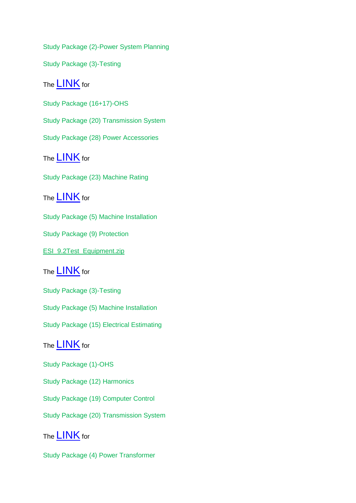Study Package (2)-Power System Planning Study Package (3)-Testing The **[LINK](http://www.filefactory.com/file/1lyqdguvtjtr/n/22-ESI_Study_Package_28_17-20_zip)** for Study Package (16+17)-OHS Study Package (20) Transmission System Study Package (28) Power Accessories The **[LINK](http://www.filefactory.com/file/1mla2pgzey5b/n/19-ESI_Study_Package_23_36_zip)** for Study Package (23) Machine Rating The **[LINK](http://www.filefactory.com/file/2bgv92go2qc5/n/26-ESI_Study_Package_5_9_zip)** for Study Package (5) Machine Installation Study Package (9) Protection [ESI\\_9.2Test\\_Equipment.zip](http://esipowersystem1.zoomshare.com/files/ESI_9.2Test_Equipment.zip) The **[LINK](http://www.filefactory.com/file/2oxt9viav9tb/n/3-ESI_Study_Package_3_5_15_zip)** for Study Package (3)-Testing Study Package (5) Machine Installation Study Package (15) Electrical Estimating The **[LINK](http://www.filefactory.com/file/2v35jzfsqm7d/n/1-ESI_Study_Package_1_1_2_19_20_zip)** for Study Package (1)-OHS Study Package (12) Harmonics Study Package (19) Computer Control

Study Package (20) Transmission System

The **[LINK](http://www.filefactory.com/file/3uahoxiohzpz/n/4-ESI_Study_Package_4_7_11_21_zip)** for

Study Package (4) Power Transformer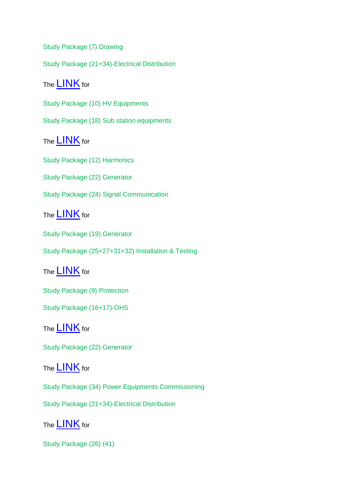Study Package (7) Drawing

Study Package (21+34)-Electrical Distribution

The **[LINK](http://www.filefactory.com/file/42s4rt667no1/n/9-ESI_Study_Package_10_18_zip)** for

Study Package (10) HV Equipments

Study Package (18) Sub station equipments

The [LINK](http://www.filefactory.com/file/43muwcguys1j/n/10-ESI_Study_Package_12_22_14_24_zip) for

Study Package (12) Harmonics

Study Package (22) Generator

Study Package (24) Signal Communication

The **[LINK](http://www.filefactory.com/file/489dcj2nd89b/n/15-ESI_Study_Package_19_31_32_zip)** for

Study Package (19) Generator

Study Package (25+27+31+32) Installation & Testing

The [LINK](http://www.filefactory.com/file/4ck8o4bjurwp/n/8-ESI_Study_Package_9_16_zip) for

Study Package (9) Protection

Study Package (16+17)-OHS

The **[LINK](http://www.filefactory.com/file/4ewsepk36wn/n/18-ESI_Study_Package_22_35_zip)** for

Study Package (22) Generator

The **[LINK](http://www.filefactory.com/file/4mlbrv3qed0t/n/17-ESI_Study_Package_21_34_zip)** for

Study Package (34) Power Equipments Commissioning

Study Package (21+34)-Electrical Distribution

The **[LINK](http://www.filefactory.com/file/4mnhwetpun7z/n/21-ESI_Study_Package_26_41_zip)** for

Study Package (26) (41)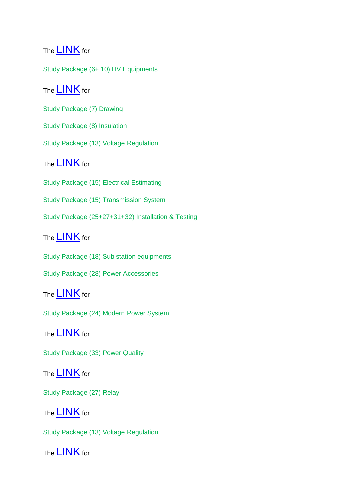# The **[LINK](http://www.filefactory.com/file/4y8yce5b18yl/n/5-ESI_Study_Package_6_10_zip)** for

Study Package (6+ 10) HV Equipments

## The [LINK](http://www.filefactory.com/file/56ib6c4yq6z3/n/6-ESI_Study_Package_7_4_8_11_13_zip) for

Study Package (7) Drawing

Study Package (8) Insulation

Study Package (13) Voltage Regulation

# The **[LINK](http://www.filefactory.com/file/5ks7q93mn0fx/n/12-ESI_Study_Package_15_25_zip)** for

Study Package (15) Electrical Estimating

Study Package (15) Transmission System

Study Package (25+27+31+32) Installation & Testing

# The **[LINK](http://www.filefactory.com/file/5r5n3qtcm5z9/n/14-ESI_Study_Package_18_28_29_37_42_1_31_amp_32_Part_1_zip)** for

Study Package (18) Sub station equipments

Study Package (28) Power Accessories

# The **[LINK](http://www.filefactory.com/file/6k438oaqymgn/n/20-ESI_Study_Package_24_38_zip)** for

Study Package (24) Modern Power System

# The **[LINK](http://www.filefactory.com/file/6gceyfsal8r5/n/24-ESI_Study_Package_33_6_zip)** for

Study Package (33) Power Quality

## The [LINK](http://www.filefactory.com/file/6j9uk10wswld/n/13-ESI_Study_Package_16_26_17_27_zip) for

Study Package (27) Relay

# The **[LINK](http://www.filefactory.com/file/6k9kuwagmxkn/n/11-ESI_Study_Package_13_23_zip)** for

Study Package (13) Voltage Regulation

The **[LINK](http://www.filefactory.com/file/6odncisvdv93/n/29_ESI_Study_Package_35_Traction_zip)** for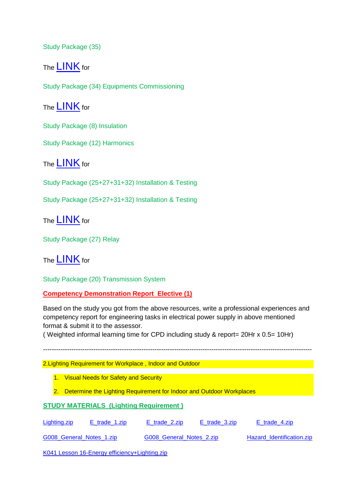Study Package (35)

The [LINK](http://www.filefactory.com/file/8qq7odsno9x/n/25-ESI_Study_Package_34_38_zip) for

Study Package (34) Equipments Commissioning

The [LINK](http://www.filefactory.com/file/9dednhprq0j/n/7-ESI_Study_Package_8_12_zip) for

Study Package (8) Insulation

Study Package (12) Harmonics

The [LINK](http://www.filefactory.com/file/q6qjpoaw1jx/n/27-ESI_Study_Package_31_32_amp_25_42_2_zip) for

Study Package (25+27+31+32) Installation & Testing

Study Package (25+27+31+32) Installation & Testing

The [LINK](http://www.filefactory.com/file/yskhv4gatgv/n/28-ESI_Study_Package_27_39_40_zip) for

Study Package (27) Relay

The [LINK](http://www.filefactory.com/file/zsdqk48e7d3/n/16-ESI_Study_Package_20_33_zip) for

Study Package (20) Transmission System

**Competency Demonstration Report Elective (1)**

Based on the study you got from the above resources, write a professional experiences and competency report for engineering tasks in electrical power supply in above mentioned format & submit it to the assessor.

---------------------------------------------------------------------------------------------------------------------------

( Weighted informal learning time for CPD including study & report= 20Hr x 0.5= 10Hr)

2.Lighting Requirement for Workplace , Indoor and Outdoor

1. Visual Needs for Safety and Security

2. Determine the Lighting Requirement for Indoor and Outdoor Workplaces

## **STUDY MATERIALS (Lighting Requirement )**

[Lighting.zip](http://advanceddiplomastage4b.zoomshare.com/files/10-Lighting.zip) [E\\_trade\\_1.zip](http://advanceddiplomastage4b.zoomshare.com/files/E_trade_1.zip) [E\\_trade\\_2.zip](http://advanceddiplomastage4b.zoomshare.com/files/E_trade_2.zip) [E\\_trade\\_3.zip](http://advanceddiplomastage4b.zoomshare.com/files/E_trade_3.zip) [E\\_trade\\_4.zip](http://advanceddiplomastage4b.zoomshare.com/files/E_trade_4.zip) G008 General Notes 1.zip G008 General Notes 2.zip Hazard Identification.zip

[K041 Lesson 16-Energy efficiency+Lighting.zip](http://www.filefactory.com/file/c0b6e0f/n/K041_Lesson_16-Energy_efficiency_Lighting.zip)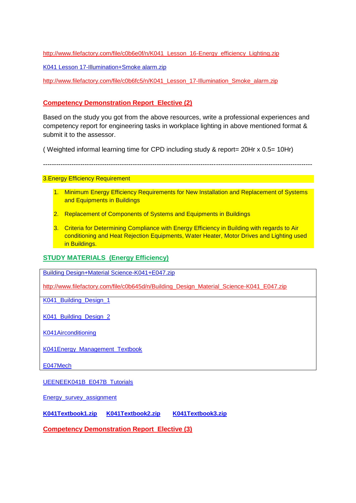[http://www.filefactory.com/file/c0b6e0f/n/K041\\_Lesson\\_16-Energy\\_efficiency\\_Lighting.zip](http://www.filefactory.com/file/c0b6e0f/n/K041_Lesson_16-Energy_efficiency_Lighting.zip)

[K041 Lesson 17-Illumination+Smoke alarm.zip](http://www.filefactory.com/file/c0b6fc5/n/K041_Lesson_17-Illumination_Smoke_alarm.zip)

[http://www.filefactory.com/file/c0b6fc5/n/K041\\_Lesson\\_17-Illumination\\_Smoke\\_alarm.zip](http://www.filefactory.com/file/c0b6fc5/n/K041_Lesson_17-Illumination_Smoke_alarm.zip)

## **Competency Demonstration Report Elective (2)**

Based on the study you got from the above resources, write a professional experiences and competency report for engineering tasks in workplace lighting in above mentioned format & submit it to the assessor.

( Weighted informal learning time for CPD including study & report= 20Hr x 0.5= 10Hr)

---------------------------------------------------------------------------------------------------------------------------

3.Energy Efficiency Requirement

- 1. Minimum Energy Efficiency Requirements for New Installation and Replacement of Systems and Equipments in Buildings
- 2. Replacement of Components of Systems and Equipments in Buildings
- 3. Criteria for Determining Compliance with Energy Efficiency in Building with regards to Air conditioning and Heat Rejection Equipments, Water Heater, Motor Drives and Lighting used in Buildings.

## **STUDY MATERIALS (Energy Efficiency)**

[Building Design+Material Science-K041+E047.zip](http://www.filefactory.com/file/c0b645d/n/Building_Design_Material_Science-K041_E047.zip)

[http://www.filefactory.com/file/c0b645d/n/Building\\_Design\\_Material\\_Science-K041\\_E047.zip](http://www.filefactory.com/file/c0b645d/n/Building_Design_Material_Science-K041_E047.zip)

K041 Building Design 1

[K041\\_Building\\_Design\\_2](http://powerteaching.zoomshare.com/files/K041_Building_Design_2.zip)

[K041Airconditioning](http://powerteaching.zoomshare.com/files/K041Airconditioning.zip)

[K041Energy\\_Management\\_Textbook](http://powerteaching.zoomshare.com/files/K041Energy_Management_Textbook.zip)

[E047Mech](http://powerclass.zoomshare.com/files/E047Mech.zip)

[UEENEEK041B\\_E047B\\_Tutorials](http://powerteaching.zoomshare.com/files/UEENEEK041B_E047B_Tutorials.doc)

[Energy\\_survey\\_assignment](http://powerteaching.zoomshare.com/files/Energy_survey_assignment.doc)

**[K041Textbook1.zip](http://15000.zoomshare.com/files/K041Textbook1.zip) [K041Textbook2.zip](http://15000.zoomshare.com/files/K041Textbook2.zip) [K041Textbook3.zip](http://15000.zoomshare.com/files/K041Textbook3.zip)**

**Competency Demonstration Report Elective (3)**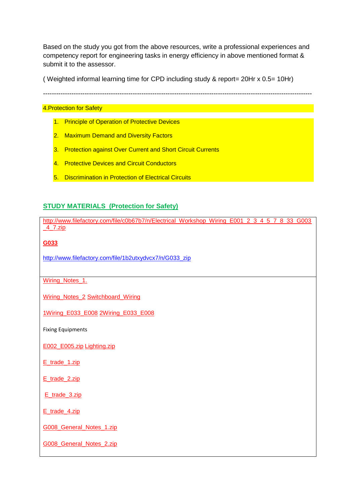Based on the study you got from the above resources, write a professional experiences and competency report for engineering tasks in energy efficiency in above mentioned format & submit it to the assessor.

( Weighted informal learning time for CPD including study & report= 20Hr x 0.5= 10Hr)

---------------------------------------------------------------------------------------------------------------------------

## **4. Protection for Safety Contract of Contract of Contract of Contract of Contract of Contract of Contract of Contract of Contract of Contract of Contract of Contract of Contract of Contract of Contract of Contract of Co**

- 1. Principle of Operation of Protective Devices
- 2. Maximum Demand and Diversity Factors
- 3. Protection against Over Current and Short Circuit Currents
- 4. Protective Devices and Circuit Conductors
- 5. Discrimination in Protection of Electrical Circuits

## **STUDY MATERIALS (Protection for Safety)**

[http://www.filefactory.com/file/c0b67b7/n/Electrical\\_Workshop\\_Wiring\\_E001\\_2\\_3\\_4\\_5\\_7\\_8\\_33\\_G003](http://www.filefactory.com/file/c0b67b7/n/Electrical_Workshop_Wiring_E001_2_3_4_5_7_8_33_G003_4_7.zip) [\\_4\\_7.zip](http://www.filefactory.com/file/c0b67b7/n/Electrical_Workshop_Wiring_E001_2_3_4_5_7_8_33_G003_4_7.zip)

**G033**

[http://www.filefactory.com/file/1b2utxydvcx7/n/G033\\_zip](http://www.filefactory.com/file/1b2utxydvcx7/n/G033_zip)

[Wiring\\_Notes\\_1.](http://powerclass.zoomshare.com/files/Wiring_Notes_1.zip)

[Wiring\\_Notes\\_2](http://powerclass.zoomshare.com/files/Wiring_Notes_2.zip) [Switchboard\\_Wiring](http://powerclass.zoomshare.com/files/Switchboard_Wiring.zip)

[1Wiring\\_E033\\_E008](http://powerclass.zoomshare.com/files/1Wiring_E033_E008_.zip) [2Wiring\\_E033\\_E008](http://powerclass.zoomshare.com/files/2Wiring_E033_E008_.zip)

Fixing Equipments

[E002\\_E005.zip](http://advanceddiplomastage4b.zoomshare.com/files/E002_E005.zip) [Lighting.zip](http://advanceddiplomastage4b.zoomshare.com/files/10-Lighting.zip)

[E\\_trade\\_1.zip](http://advanceddiplomastage4b.zoomshare.com/files/E_trade_1.zip)

[E\\_trade\\_2.zip](http://advanceddiplomastage4b.zoomshare.com/files/E_trade_2.zip)

[E\\_trade\\_3.zip](http://advanceddiplomastage4b.zoomshare.com/files/E_trade_3.zip)

[E\\_trade\\_4.zip](http://advanceddiplomastage4b.zoomshare.com/files/E_trade_4.zip)

[G008\\_General\\_Notes\\_1.zip](http://advanceddiplomastage4b.zoomshare.com/files/G008_General_Notes_1.zip)

[G008\\_General\\_Notes\\_2.zip](http://advanceddiplomastage4b.zoomshare.com/files/G008_General_Notes_2.zip)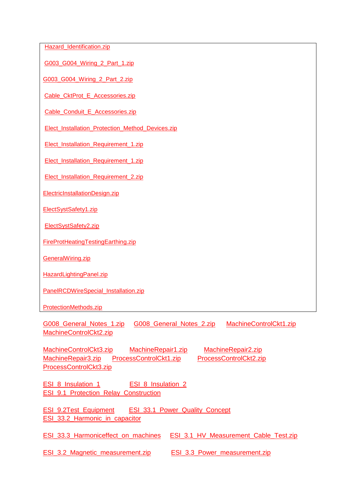[Hazard\\_Identification.zip](http://advanceddiplomastage4b.zoomshare.com/files/Hazard_Identification.zip)

[G003\\_G004\\_Wiring\\_2\\_Part\\_1.zip](http://advanceddiplomastage4b.zoomshare.com/files/G003_G004_Wiring_2_Part_1.zip)

[G003\\_G004\\_Wiring\\_2\\_Part\\_2.zip](http://advanceddiplomastage4b.zoomshare.com/files/G003_G004_Wiring_2_Part_2.zip)

[Cable\\_CktProt\\_E\\_Accessories.zip](http://advanceddiplomastage4c.zoomshare.com/files/Cable_CktProt_E_Accessories.zip)

[Cable\\_Conduit\\_E\\_Accessories.zip](http://advanceddiplomastage4c.zoomshare.com/files/Cable_Conduit_E_Accessories.zip)

[Elect\\_Installation\\_Protection\\_Method\\_Devices.zip](http://advanceddiplomastage4c.zoomshare.com/files/Elect_Installation_Protection_Method_Devices.zip)

[Elect\\_Installation\\_Requirement\\_1.zip](http://advanceddiplomastage4c.zoomshare.com/files/Elect_Installation_Requirement_1.zip)

[Elect\\_Installation\\_Requirement\\_1.zip](http://advanceddiplomastage4c.zoomshare.com/files/Elect_Installation_Requirement_1.zip)

[Elect\\_Installation\\_Requirement\\_2.zip](http://advanceddiplomastage4c.zoomshare.com/files/Elect_Installation_Requirement_2.zip)

[ElectricInstallationDesign.zip](http://advanceddiplomastage4c.zoomshare.com/files/ElectricInstallationDesign.zip)

[ElectSystSafety1.zip](http://advanceddiplomastage4c.zoomshare.com/files/ElectSystSafety1.zip)

[ElectSystSafety2.zip](http://advanceddiplomastage4c.zoomshare.com/files/ElectSystSafety2.zip)

[FireProtHeatingTestingEarthing.zip](http://advanceddiplomastage4c.zoomshare.com/files/FireProtHeatingTestingEarthing.zip)

[GeneralWiring.zip](http://advanceddiplomastage4c.zoomshare.com/files/GeneralWiring.zip)

[HazardLightingPanel.zip](http://advanceddiplomastage4c.zoomshare.com/files/HazardLightingPanel.zip)

[PanelRCDWireSpecial\\_Installation.zip](http://advanceddiplomastage4c.zoomshare.com/files/PanelRCDWireSpecial_Installation.zip)

[ProtectionMethods.zip](http://advanceddiplomastage4c.zoomshare.com/files/ProtectionMethods.zip)

G008 General Notes 1.zip G008 General Notes 2.zip MachineControlCkt1.zip [MachineControlCkt2.zip](http://advanceddiplomastage4g.zoomshare.com/files/MachineControlCkt2.zip)

[MachineControlCkt3.zip](http://advanceddiplomastage4g.zoomshare.com/files/MachineControlCkt3.zip) [MachineRepair1.zip](http://advanceddiplomastage4g.zoomshare.com/files/MachineRepair1.zip) [MachineRepair2.zip](http://advanceddiplomastage4g.zoomshare.com/files/MachineRepair2.zip)  [MachineRepair3.zip](http://advanceddiplomastage4g.zoomshare.com/files/MachineRepair3.zip) [ProcessControlCkt1.zip](http://advanceddiplomastage4g.zoomshare.com/files/ProcessControlCkt1.zip) ProcessControlCkt2.zip [ProcessControlCkt3.zip](http://advanceddiplomastage4g.zoomshare.com/files/ProcessControlCkt3.zip)

[ESI\\_8\\_Insulation\\_1](http://powersemester3.zoomshare.com/files/ESI_8_Insulation_1.zip) ESI\_8\_Insulation\_2 [ESI\\_9.1\\_Protection\\_Relay\\_Construction](http://powersemester3.zoomshare.com/files/ESI_9.1_Protection_Relay_Construction.zip)

[ESI\\_9.2Test\\_Equipment](http://powersemester3.zoomshare.com/files/ESI_9.2Test_Equipment.zip) ESI\_33.1\_Power\_Quality\_Concept [ESI\\_33.2\\_Harmonic\\_in\\_capacitor](http://powersemester3.zoomshare.com/files/ESI_33.2_Harmonic_in_capacitor.zip)

ESI 33.3 Harmoniceffect on machines ESI 3.1 HV Measurement Cable Test.zip

ESI 3.2 Magnetic measurement.zip ESI 3.3 Power measurement.zip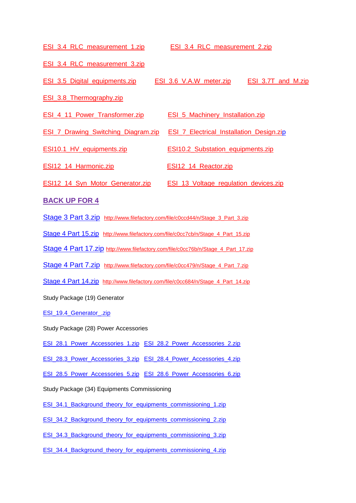[ESI\\_3.4\\_RLC\\_measurement\\_1.zip](http://esipowersystem1.zoomshare.com/files/ESI_3.4_RLC_measurement_1.zip) [ESI\\_3.4\\_RLC\\_measurement\\_2.zip](http://esipowersystem1.zoomshare.com/files/ESI_3.4_RLC_measurement_2.zip) [ESI\\_3.4\\_RLC\\_measurement\\_3.zip](http://esipowersystem1.zoomshare.com/files/ESI_3.4_RLC_measurement_3.zip) [ESI\\_3.5\\_Digital\\_equipments.zip](http://esipowersystem1.zoomshare.com/files/ESI_3.5_Digital_equipments.zip) [ESI\\_3.6\\_V.A.W\\_meter.zip](http://esipowersystem1.zoomshare.com/files/ESI_3.6_V.A.W_meter.zip) [ESI\\_3.7T\\_and\\_M.zip](http://esipowersystem1.zoomshare.com/files/ESI_3.7T_and_M.zip) ESI 3.8 Thermography.zip [ESI\\_4\\_11\\_Power\\_Transformer.zip](http://esipowersystem1.zoomshare.com/files/ESI_4_11_Power_Transformer.zip) [ESI\\_5\\_Machinery\\_Installation.zip](http://esipowersystem1.zoomshare.com/files/ESI_5_Machinery_Installation.zip) [ESI\\_7\\_Drawing\\_Switching\\_Diagram.zip](http://esipowersystem1.zoomshare.com/files/ESI_7_Drawing_Switching_Diagram.zip) [ESI\\_7\\_Electrical\\_Installation\\_Design.zip](http://esipowersystem1.zoomshare.com/files/ESI_7_Electrical_Installation_Design.zip) ESI10.1 HV equipments.zip ESI10.2 Substation equipments.zip [ESI12\\_14\\_Harmonic.zip](http://esipowersystem1.zoomshare.com/files/ESI12_14_Harmonic.zip) [ESI12\\_14\\_Reactor.zip](http://esipowersystem1.zoomshare.com/files/ESI12_14_Reactor.zip) [ESI12\\_14\\_Syn\\_Motor\\_Generator.zip](http://esipowersystem1.zoomshare.com/files/ESI12_14_Syn_Motor_Generator.zip) [ESI\\_13\\_Voltage\\_regulation\\_devices.zip](http://esipowersystem1.zoomshare.com/files/ESI_13_Voltage_regulation_devices.zip) **BACK UP FOR 4** [Stage 3 Part 3.zip](http://www.filefactory.com/file/c0ccd44/n/Stage_3_Part_3.zip) [http://www.filefactory.com/file/c0ccd44/n/Stage\\_3\\_Part\\_3.zip](http://www.filefactory.com/file/c0ccd44/n/Stage_3_Part_3.zip) [Stage 4 Part 15.zip](http://www.filefactory.com/file/c0cc7cb/n/Stage_4_Part_15.zip) [http://www.filefactory.com/file/c0cc7cb/n/Stage\\_4\\_Part\\_15.zip](http://www.filefactory.com/file/c0cc7cb/n/Stage_4_Part_15.zip) [Stage 4 Part 17.zip](http://www.filefactory.com/file/c0cc76b/n/Stage_4_Part_17.zip) [http://www.filefactory.com/file/c0cc76b/n/Stage\\_4\\_Part\\_17.zip](http://www.filefactory.com/file/c0cc76b/n/Stage_4_Part_17.zip) [Stage 4 Part 7.zip](http://www.filefactory.com/file/c0cc479/n/Stage_4_Part_7.zip) http://www.filefactory.com/file/c0cc479/n/Stage 4 Part 7.zip [Stage 4 Part 14.zip](http://www.filefactory.com/file/c0cc684/n/Stage_4_Part_14.zip) [http://www.filefactory.com/file/c0cc684/n/Stage\\_4\\_Part\\_14.zip](http://www.filefactory.com/file/c0cc684/n/Stage_4_Part_14.zip) Study Package (19) Generator

[ESI\\_19.4\\_Generator\\_.zip](http://esipowersystem4.zoomshare.com/files/ESI_19.4_Generator_.zip)

Study Package (28) Power Accessories

ESI 28.1 Power Accessories 1.zip ESI 28.2 Power Accessories 2.zip

[ESI\\_28.3\\_Power\\_Accessories\\_3.zip](http://esipowersystem4.zoomshare.com/files/ESI_28.3_Power_Accessories_3.zip) [ESI\\_28.4\\_Power\\_Accessories\\_4.zip](http://esipowersystem4.zoomshare.com/files/ESI_28.4_Power_Accessories_4.zip)

[ESI\\_28.5\\_Power\\_Accessories\\_5.zip](http://esipowersystem4.zoomshare.com/files/ESI_28.5_Power_Accessories_5.zip) [ESI\\_28.6\\_Power\\_Accessories\\_6.zip](http://esipowersystem4.zoomshare.com/files/ESI_28.6_Power_Accessories_6.zip)

Study Package (34) Equipments Commissioning

[ESI\\_34.1\\_Background\\_theory\\_for\\_equipments\\_commissioning\\_1.zip](http://esipowersystem4.zoomshare.com/files/ESI_34.1_Background_theory_for_equipments_commissioning_1.zip)

[ESI\\_34.2\\_Background\\_theory\\_for\\_equipments\\_commissioning\\_2.zip](http://esipowersystem4.zoomshare.com/files/ESI_34.2_Background_theory_for_equipments_commissioning_2.zip)

[ESI\\_34.3\\_Background\\_theory\\_for\\_equipments\\_commissioning\\_3.zip](http://esipowersystem4.zoomshare.com/files/ESI_34.3_Background_theory_for_equipments_commissioning_3.zip)

[ESI\\_34.4\\_Background\\_theory\\_for\\_equipments\\_commissioning\\_4.zip](http://esipowersystem4.zoomshare.com/files/ESI_34.4_Background_theory_for_equipments_commissioning_4.zip)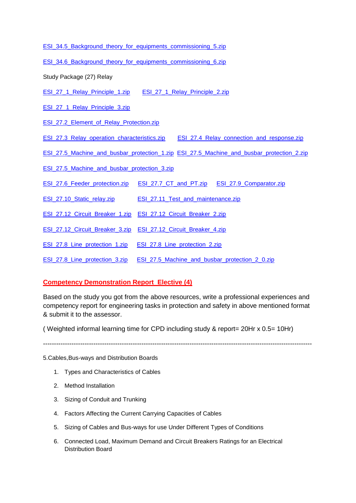- [ESI\\_34.5\\_Background\\_theory\\_for\\_equipments\\_commissioning\\_5.zip](http://esipowersystem4.zoomshare.com/files/ESI_34.5_Background_theory_for_equipments_commissioning_5.zip)
- [ESI\\_34.6\\_Background\\_theory\\_for\\_equipments\\_commissioning\\_6.zip](http://esipowersystem4.zoomshare.com/files/ESI_34.6_Background_theory_for_equipments_commissioning_6.zip)
- Study Package (27) Relay
- ESI 27\_1\_Relay\_Principle\_1.zip [ESI\\_27\\_1\\_Relay\\_Principle\\_2.zip](http://esipowersystem4.zoomshare.com/files/ESI_27_1_Relay_Principle_2.zip)
- ESI 27 1 Relay Principle 3.zip
- ESI 27.2 Element of Relay Protection.zip
- [ESI\\_27.3\\_Relay\\_operation\\_characteristics.zip](http://esipowersystem4.zoomshare.com/files/ESI_27.3_Relay_operation_characteristics.zip) [ESI\\_27.4\\_Relay\\_connection\\_and\\_response.zip](http://esipowersystem4.zoomshare.com/files/ESI_27.4_Relay_connection_and_response.zip)
- [ESI\\_27.5\\_Machine\\_and\\_busbar\\_protection\\_1.zip](http://esipowersystem4.zoomshare.com/files/ESI_27.5_Machine_and_busbar_protection_1.zip) [ESI\\_27.5\\_Machine\\_and\\_busbar\\_protection\\_2.zip](http://esipowersystem4.zoomshare.com/files/ESI_27.5_Machine_and_busbar_protection_2.zip)
- [ESI\\_27.5\\_Machine\\_and\\_busbar\\_protection\\_3.zip](http://esipowersystem4.zoomshare.com/files/ESI_27.5_Machine_and_busbar_protection_3.zip)
- ESI 27.6 Feeder protection.zip ESI 27.7 CT and PT.zip ESI 27.9 Comparator.zip
- [ESI\\_27.10\\_Static\\_relay.zip](http://esipowersystem4.zoomshare.com/files/ESI_27.10_Static_relay.zip) [ESI\\_27.11\\_Test\\_and\\_maintenance.zip](http://esipowersystem4.zoomshare.com/files/ESI_27.11_Test_and_maintenance.zip)
- ESI 27.12 Circuit Breaker 1.zip ESI 27.12 Circuit Breaker 2.zip
- [ESI\\_27.12\\_Circuit\\_Breaker\\_3.zip](http://esipowersystem4.zoomshare.com/files/ESI_27.12_Circuit_Breaker_3.zip) [ESI\\_27.12\\_Circuit\\_Breaker\\_4.zip](http://esipowersystem4.zoomshare.com/files/ESI_27.12_Circuit_Breaker_4.zip)
- [ESI\\_27.8\\_Line\\_protection\\_1.zip](http://esipowersystem4.zoomshare.com/files/ESI_27.8_Line_protection_1.zip) [ESI\\_27.8\\_Line\\_protection\\_2.zip](http://esipowersystem4.zoomshare.com/files/ESI_27.8_Line_protection_2.zip)
- ESI 27.8 Line\_protection\_3.zip [ESI\\_27.5\\_Machine\\_and\\_busbar\\_protection\\_2\\_0.zip](http://esipowersystem4.zoomshare.com/files/ESI_27.5_Machine_and_busbar_protection_2_0.zip)

#### **Competency Demonstration Report Elective (4)**

Based on the study you got from the above resources, write a professional experiences and competency report for engineering tasks in protection and safety in above mentioned format & submit it to the assessor.

( Weighted informal learning time for CPD including study & report= 20Hr x 0.5= 10Hr)

 $-1.1$ 

5.Cables,Bus-ways and Distribution Boards

- 1. Types and Characteristics of Cables
- 2. Method Installation
- 3. Sizing of Conduit and Trunking
- 4. Factors Affecting the Current Carrying Capacities of Cables
- 5. Sizing of Cables and Bus-ways for use Under Different Types of Conditions
- 6. Connected Load, Maximum Demand and Circuit Breakers Ratings for an Electrical Distribution Board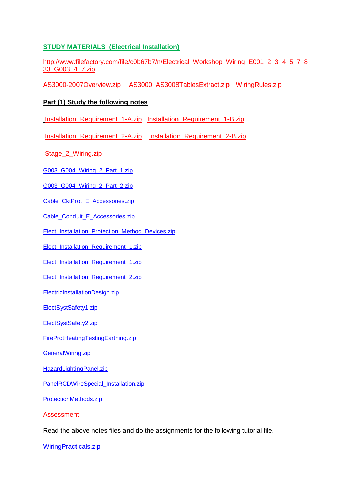## **STUDY MATERIALS (Electrical Installation)**

[http://www.filefactory.com/file/c0b67b7/n/Electrical\\_Workshop\\_Wiring\\_E001\\_2\\_3\\_4\\_5\\_7\\_8\\_](http://www.filefactory.com/file/c0b67b7/n/Electrical_Workshop_Wiring_E001_2_3_4_5_7_8_33_G003_4_7.zip) [33\\_G003\\_4\\_7.zip](http://www.filefactory.com/file/c0b67b7/n/Electrical_Workshop_Wiring_E001_2_3_4_5_7_8_33_G003_4_7.zip)

[AS3000-2007Overview.zip](http://advanceddiplomastage4b.zoomshare.com/files/AS3000-2007Overview.zip) [AS3000\\_AS3008TablesExtract.zip](http://advanceddiplomastage4b.zoomshare.com/files/AS3000_AS3008TablesExtract.zip) [WiringRules.zip](http://15000.zoomshare.com/files/WiringRules.zip)

## **Part (1) Study the following notes**

[Installation\\_Requirement\\_1-A.zip](http://advanceddiplomastage4a.zoomshare.com/files/Installation_Requirement_1-A.zip) [Installation\\_Requirement\\_1-B.zip](http://advanceddiplomastage4a.zoomshare.com/files/Installation_Requirement_1-B.zip)

[Installation\\_Requirement\\_2-A.zip](http://advanceddiplomastage4a.zoomshare.com/files/Installation_Requirement_2-A.zip) [Installation\\_Requirement\\_2-B.zip](http://advanceddiplomastage4a.zoomshare.com/files/Installation_Requirement_2-B.zip)

[Stage\\_2\\_Wiring.zip](http://advanceddiplomastage4b.zoomshare.com/files/Stage_2_Wiring.zip)

[G003\\_G004\\_Wiring\\_2\\_Part\\_1.zip](http://advanceddiplomastage4b.zoomshare.com/files/G003_G004_Wiring_2_Part_1.zip)

[G003\\_G004\\_Wiring\\_2\\_Part\\_2.zip](http://advanceddiplomastage4b.zoomshare.com/files/G003_G004_Wiring_2_Part_2.zip)

[Cable\\_CktProt\\_E\\_Accessories.zip](http://advanceddiplomastage4c.zoomshare.com/files/Cable_CktProt_E_Accessories.zip)

Cable Conduit E Accessories.zip

[Elect\\_Installation\\_Protection\\_Method\\_Devices.zip](http://advanceddiplomastage4c.zoomshare.com/files/Elect_Installation_Protection_Method_Devices.zip)

[Elect\\_Installation\\_Requirement\\_1.zip](http://advanceddiplomastage4c.zoomshare.com/files/Elect_Installation_Requirement_1.zip)

[Elect\\_Installation\\_Requirement\\_1.zip](http://advanceddiplomastage4c.zoomshare.com/files/Elect_Installation_Requirement_1.zip)

[Elect\\_Installation\\_Requirement\\_2.zip](http://advanceddiplomastage4c.zoomshare.com/files/Elect_Installation_Requirement_2.zip)

[ElectricInstallationDesign.zip](http://advanceddiplomastage4c.zoomshare.com/files/ElectricInstallationDesign.zip)

[ElectSystSafety1.zip](http://advanceddiplomastage4c.zoomshare.com/files/ElectSystSafety1.zip)

[ElectSystSafety2.zip](http://advanceddiplomastage4c.zoomshare.com/files/ElectSystSafety2.zip)

[FireProtHeatingTestingEarthing.zip](http://advanceddiplomastage4c.zoomshare.com/files/FireProtHeatingTestingEarthing.zip)

[GeneralWiring.zip](http://advanceddiplomastage4c.zoomshare.com/files/GeneralWiring.zip)

[HazardLightingPanel.zip](http://advanceddiplomastage4c.zoomshare.com/files/HazardLightingPanel.zip)

[PanelRCDWireSpecial\\_Installation.zip](http://advanceddiplomastage4c.zoomshare.com/files/PanelRCDWireSpecial_Installation.zip)

[ProtectionMethods.zip](http://advanceddiplomastage4c.zoomshare.com/files/ProtectionMethods.zip)

Assessment

Read the above notes files and do the assignments for the following tutorial file.

[WiringPracticals.zip](http://advanceddiplomastage4c.zoomshare.com/files/WiringPracticals.zip)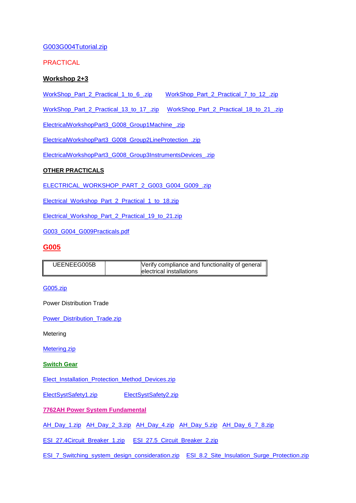## [G003G004Tutorial.zip](http://advanceddiplomastage4c.zoomshare.com/files/G003G004Tutorial.zip)

PRACTICAL

## **Workshop 2+3**

[WorkShop\\_Part\\_2\\_Practical\\_1\\_to\\_6\\_.zip](http://advanceddiplomastage4h.zoomshare.com/files/WorkShop_Part_2_Practical_1_to_6_.zip) [WorkShop\\_Part\\_2\\_Practical\\_7\\_to\\_12\\_.zip](http://advanceddiplomastage4h.zoomshare.com/files/WorkShop_Part_2_Practical_7_to_12_.zip)

[WorkShop\\_Part\\_2\\_Practical\\_13\\_to\\_17\\_.zip](http://advanceddiplomastage4h.zoomshare.com/files/WorkShop_Part_2_Practical_13_to_17_.zip) [WorkShop\\_Part\\_2\\_Practical\\_18\\_to\\_21\\_.zip](http://advanceddiplomastage4h.zoomshare.com/files/WorkShop_Part_2_Practical_18_to_21_.zip)

[ElectricalWorkshopPart3\\_G008\\_Group1Machine\\_.zip](http://advanceddiplomastage4h.zoomshare.com/files/ElectricalWorkshopPart3_G008_Group1Machine_.zip)

[ElectricalWorkshopPart3\\_G008\\_Group2LineProtection\\_.zip](http://advanceddiplomastage4h.zoomshare.com/files/ElectricalWorkshopPart3_G008_Group2LineProtection_.zip)

[ElectricalWorkshopPart3\\_G008\\_Group3InstrumentsDevices\\_.zip](http://advanceddiplomastage4h.zoomshare.com/files/ElectricalWorkshopPart3_G008_Group3InstrumentsDevices_.zip)

## **OTHER PRACTICALS**

[ELECTRICAL\\_WORKSHOP\\_PART\\_2\\_G003\\_G004\\_G009\\_.zip](http://advanceddiplomastage4h.zoomshare.com/files/ELECTRICAL_WORKSHOP_PART_2_G003_G004_G009_.zip)

[Electrical\\_Workshop\\_Part\\_2\\_Practical\\_1\\_to\\_18.zip](http://advanceddiplomastage4h.zoomshare.com/files/Electrical_Workshop_Part_2_Practical_1_to_18.zip) 

[Electrical\\_Workshop\\_Part\\_2\\_Practical\\_19\\_to\\_21.zip](http://advanceddiplomastage4h.zoomshare.com/files/Electrical_Workshop_Part_2_Practical_19_to_21.zip)

[G003\\_G004\\_G009Practicals.pdf](http://advanceddiplomastage4h.zoomshare.com/files/G003_G004_G009Practicals.pdf)

### **G005**

| UEENEEG005B | Verify compliance and functionality of general |
|-------------|------------------------------------------------|
|             | electrical installations                       |

[G005.zip](http://advanceddiplomastage4f.zoomshare.com/files/G005.zip)

Power Distribution Trade

[Power\\_Distribution\\_Trade.zip](http://advanceddiplomastage4f.zoomshare.com/files/Power_Distribution_Trade.zip)

Metering

[Metering.zip](http://advanceddiplomastage4f.zoomshare.com/files/Metering.zip)

**Switch Gear**

[Elect\\_Installation\\_Protection\\_Method\\_Devices.zip](http://advanceddiplomastage4c.zoomshare.com/files/Elect_Installation_Protection_Method_Devices.zip)

[ElectSystSafety1.zip](http://advanceddiplomastage4c.zoomshare.com/files/ElectSystSafety1.zip) [ElectSystSafety2.zip](http://advanceddiplomastage4c.zoomshare.com/files/ElectSystSafety2.zip)

**7762AH Power System Fundamental** 

[AH\\_Day\\_1.zip](http://kyawnaing225.zoomshare.com/files/ah/AH_Day_1.zip) [AH\\_Day\\_2\\_3.zip](http://kyawnaing225.zoomshare.com/files/ah/AH_Day_2_3.zip) [AH\\_Day\\_4.zip](http://kyawnaing225.zoomshare.com/files/ah/AH_Day_4.zip) [AH\\_Day\\_5.zip](http://kyawnaing225.zoomshare.com/files/ah/AH_Day_5.zip) [AH\\_Day\\_6\\_7\\_8.zip](http://kyawnaing225.zoomshare.com/files/ah/AH_Day_6_7_8.zip)

[ESI\\_27.4Circuit\\_Breaker\\_1.zip](http://esipowersystem3.zoomshare.com/files/ESI_27.4Circuit_Breaker_1.zip) [ESI\\_27.5\\_Circuit\\_Breaker\\_2.zip](http://esipowersystem3.zoomshare.com/files/ESI_27.5_Circuit_Breaker_2.zip)

[ESI\\_7\\_Switching\\_system\\_design\\_consideration.zip](http://esipowersystem3.zoomshare.com/files/ESI_7_Switching_system_design_consideration.zip) [ESI\\_8.2\\_Site\\_Insulation\\_Surge\\_Protection.zip](http://esipowersystem3.zoomshare.com/files/ESI_8.2_Site_Insulation_Surge_Protection.zip)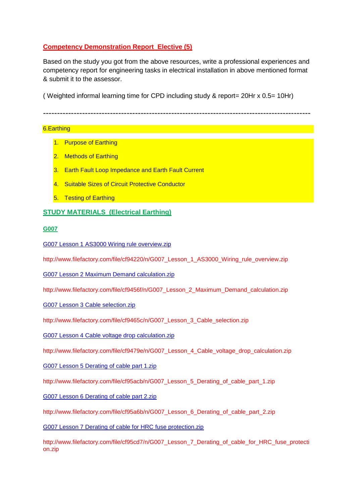## **Competency Demonstration Report Elective (5)**

Based on the study you got from the above resources, write a professional experiences and competency report for engineering tasks in electrical installation in above mentioned format & submit it to the assessor.

( Weighted informal learning time for CPD including study & report= 20Hr x 0.5= 10Hr)

------------------------------------------------------------------------------------------------

#### 6.Earthing

- 1. Purpose of Earthing
- 2. Methods of Earthing
- 3. Earth Fault Loop Impedance and Earth Fault Current
- 4. Suitable Sizes of Circuit Protective Conductor
- 5. Testing of Earthing

## **STUDY MATERIALS (Electrical Earthing)**

#### **G007**

[G007 Lesson 1 AS3000 Wiring rule overview.zip](http://www.filefactory.com/file/cf94220/n/G007_Lesson_1_AS3000_Wiring_rule_overview.zip)

http://www.filefactory.com/file/cf94220/n/G007\_Lesson\_1\_AS3000\_Wiring\_rule\_overview.zip

[G007 Lesson 2 Maximum Demand calculation.zip](http://www.filefactory.com/file/cf9456f/n/G007_Lesson_2_Maximum_Demand_calculation.zip)

http://www.filefactory.com/file/cf9456f/n/G007\_Lesson\_2\_Maximum\_Demand\_calculation.zip

[G007 Lesson 3 Cable selection.zip](http://www.filefactory.com/file/cf9465c/n/G007_Lesson_3_Cable_selection.zip)

http://www.filefactory.com/file/cf9465c/n/G007\_Lesson\_3\_Cable\_selection.zip

[G007 Lesson 4 Cable voltage drop calculation.zip](http://www.filefactory.com/file/cf9479e/n/G007_Lesson_4_Cable_voltage_drop_calculation.zip)

http://www.filefactory.com/file/cf9479e/n/G007\_Lesson\_4\_Cable\_voltage\_drop\_calculation.zip

[G007 Lesson 5 Derating of cable part 1.zip](http://www.filefactory.com/file/cf95acb/n/G007_Lesson_5_Derating_of_cable_part_1.zip)

http://www.filefactory.com/file/cf95acb/n/G007\_Lesson\_5\_Derating\_of\_cable\_part\_1.zip

[G007 Lesson 6 Derating of cable part 2.zip](http://www.filefactory.com/file/cf95a6b/n/G007_Lesson_6_Derating_of_cable_part_2.zip)

http://www.filefactory.com/file/cf95a6b/n/G007\_Lesson\_6\_Derating\_of\_cable\_part\_2.zip

[G007 Lesson 7 Derating of cable for HRC fuse protection.zip](http://www.filefactory.com/file/cf95cd7/n/G007_Lesson_7_Derating_of_cable_for_HRC_fuse_protection.zip)

http://www.filefactory.com/file/cf95cd7/n/G007\_Lesson\_7\_Derating\_of\_cable\_for\_HRC\_fuse\_protecti on.zip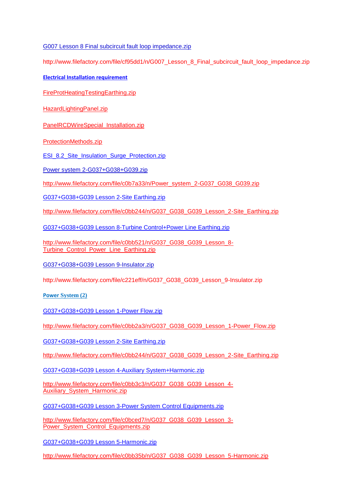[G007 Lesson 8 Final subcircuit fault loop impedance.zip](http://www.filefactory.com/file/cf95dd1/n/G007_Lesson_8_Final_subcircuit_fault_loop_impedance.zip)

http://www.filefactory.com/file/cf95dd1/n/G007\_Lesson\_8\_Final\_subcircuit\_fault\_loop\_impedance.zip

**[Electrical Installation requirement](http://uploading.com/files/892f692a/G007.zip/)**

[FireProtHeatingTestingEarthing.zip](http://advanceddiplomastage4c.zoomshare.com/files/FireProtHeatingTestingEarthing.zip)

[HazardLightingPanel.zip](http://advanceddiplomastage4c.zoomshare.com/files/HazardLightingPanel.zip)

[PanelRCDWireSpecial\\_Installation.zip](http://advanceddiplomastage4c.zoomshare.com/files/PanelRCDWireSpecial_Installation.zip)

[ProtectionMethods.zip](http://advanceddiplomastage4c.zoomshare.com/files/ProtectionMethods.zip)

[ESI\\_8.2\\_Site\\_Insulation\\_Surge\\_Protection.zip](http://esipowersystem3.zoomshare.com/files/ESI_8.2_Site_Insulation_Surge_Protection.zip)

[Power system 2-G037+G038+G039.zip](http://www.filefactory.com/file/c0b7a33/n/Power_system_2-G037_G038_G039.zip)

[http://www.filefactory.com/file/c0b7a33/n/Power\\_system\\_2-G037\\_G038\\_G039.zip](http://www.filefactory.com/file/c0b7a33/n/Power_system_2-G037_G038_G039.zip)

[G037+G038+G039 Lesson 2-Site Earthing.zip](http://www.filefactory.com/file/c0bb244/n/G037_G038_G039_Lesson_2-Site_Earthing.zip)

[http://www.filefactory.com/file/c0bb244/n/G037\\_G038\\_G039\\_Lesson\\_2-Site\\_Earthing.zip](http://www.filefactory.com/file/c0bb244/n/G037_G038_G039_Lesson_2-Site_Earthing.zip)

[G037+G038+G039 Lesson 8-Turbine Control+Power Line Earthing.zip](http://www.filefactory.com/file/c0bb521/n/G037_G038_G039_Lesson_8-Turbine_Control_Power_Line_Earthing.zip)

[http://www.filefactory.com/file/c0bb521/n/G037\\_G038\\_G039\\_Lesson\\_8-](http://www.filefactory.com/file/c0bb521/n/G037_G038_G039_Lesson_8-Turbine_Control_Power_Line_Earthing.zip) [Turbine\\_Control\\_Power\\_Line\\_Earthing.zip](http://www.filefactory.com/file/c0bb521/n/G037_G038_G039_Lesson_8-Turbine_Control_Power_Line_Earthing.zip)

[G037+G038+G039 Lesson 9-Insulator.zip](http://www.filefactory.com/file/c221eff/n/G037_G038_G039_Lesson_9-Insulator.zip)

http://www.filefactory.com/file/c221eff/n/G037\_G038\_G039\_Lesson\_9-Insulator.zip

**[Power](http://uploading.com/files/29m79db3/G012.zip/) System (2)** 

[G037+G038+G039 Lesson 1-Power Flow.zip](http://www.filefactory.com/file/c0bb2a3/n/G037_G038_G039_Lesson_1-Power_Flow.zip)

[http://www.filefactory.com/file/c0bb2a3/n/G037\\_G038\\_G039\\_Lesson\\_1-Power\\_Flow.zip](http://www.filefactory.com/file/c0bb2a3/n/G037_G038_G039_Lesson_1-Power_Flow.zip)

[G037+G038+G039 Lesson 2-Site Earthing.zip](http://www.filefactory.com/file/c0bb244/n/G037_G038_G039_Lesson_2-Site_Earthing.zip)

[http://www.filefactory.com/file/c0bb244/n/G037\\_G038\\_G039\\_Lesson\\_2-Site\\_Earthing.zip](http://www.filefactory.com/file/c0bb244/n/G037_G038_G039_Lesson_2-Site_Earthing.zip)

[G037+G038+G039 Lesson 4-Auxiliary System+Harmonic.zip](http://www.filefactory.com/file/c0bb3c3/n/G037_G038_G039_Lesson_4-Auxiliary_System_Harmonic.zip)

[http://www.filefactory.com/file/c0bb3c3/n/G037\\_G038\\_G039\\_Lesson\\_4-](http://www.filefactory.com/file/c0bb3c3/n/G037_G038_G039_Lesson_4-Auxiliary_System_Harmonic.zip) [Auxiliary\\_System\\_Harmonic.zip](http://www.filefactory.com/file/c0bb3c3/n/G037_G038_G039_Lesson_4-Auxiliary_System_Harmonic.zip)

[G037+G038+G039 Lesson 3-Power System Control Equipments.zip](http://www.filefactory.com/file/c0bced7/n/G037_G038_G039_Lesson_3-Power_System_Control_Equipments.zip)

[http://www.filefactory.com/file/c0bced7/n/G037\\_G038\\_G039\\_Lesson\\_3-](http://www.filefactory.com/file/c0bced7/n/G037_G038_G039_Lesson_3-Power_System_Control_Equipments.zip) [Power\\_System\\_Control\\_Equipments.zip](http://www.filefactory.com/file/c0bced7/n/G037_G038_G039_Lesson_3-Power_System_Control_Equipments.zip)

[G037+G038+G039 Lesson 5-Harmonic.zip](http://www.filefactory.com/file/c0bb35b/n/G037_G038_G039_Lesson_5-Harmonic.zip)

[http://www.filefactory.com/file/c0bb35b/n/G037\\_G038\\_G039\\_Lesson\\_5-Harmonic.zip](http://www.filefactory.com/file/c0bb35b/n/G037_G038_G039_Lesson_5-Harmonic.zip)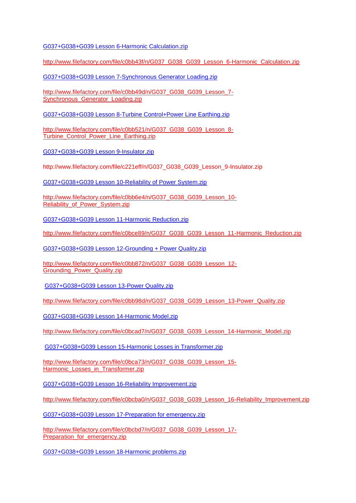[G037+G038+G039 Lesson 6-Harmonic Calculation.zip](http://www.filefactory.com/file/c0bb43f/n/G037_G038_G039_Lesson_6-Harmonic_Calculation.zip)

[http://www.filefactory.com/file/c0bb43f/n/G037\\_G038\\_G039\\_Lesson\\_6-Harmonic\\_Calculation.zip](http://www.filefactory.com/file/c0bb43f/n/G037_G038_G039_Lesson_6-Harmonic_Calculation.zip)

[G037+G038+G039 Lesson 7-Synchronous Generator Loading.zip](http://www.filefactory.com/file/c0bb49d/n/G037_G038_G039_Lesson_7-Synchronous_Generator_Loading.zip)

[http://www.filefactory.com/file/c0bb49d/n/G037\\_G038\\_G039\\_Lesson\\_7-](http://www.filefactory.com/file/c0bb49d/n/G037_G038_G039_Lesson_7-Synchronous_Generator_Loading.zip) Synchronous Generator Loading.zip

[G037+G038+G039 Lesson 8-Turbine Control+Power Line Earthing.zip](http://www.filefactory.com/file/c0bb521/n/G037_G038_G039_Lesson_8-Turbine_Control_Power_Line_Earthing.zip)

[http://www.filefactory.com/file/c0bb521/n/G037\\_G038\\_G039\\_Lesson\\_8-](http://www.filefactory.com/file/c0bb521/n/G037_G038_G039_Lesson_8-Turbine_Control_Power_Line_Earthing.zip) [Turbine\\_Control\\_Power\\_Line\\_Earthing.zip](http://www.filefactory.com/file/c0bb521/n/G037_G038_G039_Lesson_8-Turbine_Control_Power_Line_Earthing.zip)

[G037+G038+G039 Lesson 9-Insulator.zip](http://www.filefactory.com/file/c221eff/n/G037_G038_G039_Lesson_9-Insulator.zip)

http://www.filefactory.com/file/c221eff/n/G037\_G038\_G039\_Lesson\_9-Insulator.zip

[G037+G038+G039 Lesson 10-Reliability of Power System.zip](http://www.filefactory.com/file/c0bb6e4/n/G037_G038_G039_Lesson_10-Reliability_of_Power_System.zip)

[http://www.filefactory.com/file/c0bb6e4/n/G037\\_G038\\_G039\\_Lesson\\_10-](http://www.filefactory.com/file/c0bb6e4/n/G037_G038_G039_Lesson_10-Reliability_of_Power_System.zip) Reliability of Power System.zip

[G037+G038+G039 Lesson 11-Harmonic Reduction.zip](http://www.filefactory.com/file/c0bce89/n/G037_G038_G039_Lesson_11-Harmonic_Reduction.zip)

[http://www.filefactory.com/file/c0bce89/n/G037\\_G038\\_G039\\_Lesson\\_11-Harmonic\\_Reduction.zip](http://www.filefactory.com/file/c0bce89/n/G037_G038_G039_Lesson_11-Harmonic_Reduction.zip)

[G037+G038+G039 Lesson 12-Grounding](http://www.filefactory.com/file/c0bb872/n/G037_G038_G039_Lesson_12-Grounding_Power_Quality.zip) + Power Quality.zip

[http://www.filefactory.com/file/c0bb872/n/G037\\_G038\\_G039\\_Lesson\\_12-](http://www.filefactory.com/file/c0bb872/n/G037_G038_G039_Lesson_12-Grounding_Power_Quality.zip) [Grounding\\_Power\\_Quality.zip](http://www.filefactory.com/file/c0bb872/n/G037_G038_G039_Lesson_12-Grounding_Power_Quality.zip)

[G037+G038+G039 Lesson 13-Power Quality.zip](http://www.filefactory.com/file/c0bb98d/n/G037_G038_G039_Lesson_13-Power_Quality.zip)

[http://www.filefactory.com/file/c0bb98d/n/G037\\_G038\\_G039\\_Lesson\\_13-Power\\_Quality.zip](http://www.filefactory.com/file/c0bb98d/n/G037_G038_G039_Lesson_13-Power_Quality.zip)

[G037+G038+G039 Lesson 14-Harmonic Model.zip](http://www.filefactory.com/file/c0bcad7/n/G037_G038_G039_Lesson_14-Harmonic_Model.zip)

[http://www.filefactory.com/file/c0bcad7/n/G037\\_G038\\_G039\\_Lesson\\_14-Harmonic\\_Model.zip](http://www.filefactory.com/file/c0bcad7/n/G037_G038_G039_Lesson_14-Harmonic_Model.zip)

[G037+G038+G039 Lesson 15-Harmonic Losses in Transformer.zip](http://www.filefactory.com/file/c0bca73/n/G037_G038_G039_Lesson_15-Harmonic_Losses_in_Transformer.zip)

[http://www.filefactory.com/file/c0bca73/n/G037\\_G038\\_G039\\_Lesson\\_15-](http://www.filefactory.com/file/c0bca73/n/G037_G038_G039_Lesson_15-Harmonic_Losses_in_Transformer.zip) Harmonic Losses in Transformer.zip

[G037+G038+G039 Lesson 16-Reliability Improvement.zip](http://www.filefactory.com/file/c0bcba0/n/G037_G038_G039_Lesson_16-Reliability_Improvement.zip)

[http://www.filefactory.com/file/c0bcba0/n/G037\\_G038\\_G039\\_Lesson\\_16-Reliability\\_Improvement.zip](http://www.filefactory.com/file/c0bcba0/n/G037_G038_G039_Lesson_16-Reliability_Improvement.zip)

[G037+G038+G039 Lesson 17-Preparation for emergency.zip](http://www.filefactory.com/file/c0bcbd7/n/G037_G038_G039_Lesson_17-Preparation_for_emergency.zip)

[http://www.filefactory.com/file/c0bcbd7/n/G037\\_G038\\_G039\\_Lesson\\_17-](http://www.filefactory.com/file/c0bcbd7/n/G037_G038_G039_Lesson_17-Preparation_for_emergency.zip) Preparation for emergency.zip

[G037+G038+G039 Lesson 18-Harmonic problems.zip](http://www.filefactory.com/file/c0bcb68/n/G037_G038_G039_Lesson_18-Harmonic_problems.zip)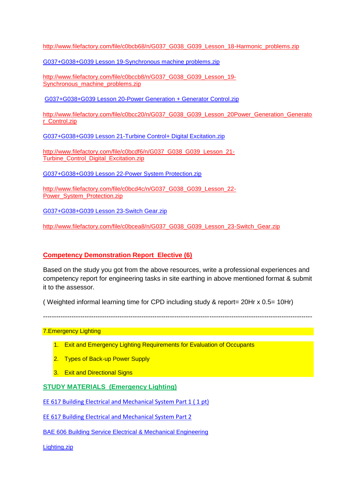[http://www.filefactory.com/file/c0bcb68/n/G037\\_G038\\_G039\\_Lesson\\_18-Harmonic\\_problems.zip](http://www.filefactory.com/file/c0bcb68/n/G037_G038_G039_Lesson_18-Harmonic_problems.zip)

[G037+G038+G039 Lesson 19-Synchronous machine problems.zip](http://www.filefactory.com/file/c0bccb8/n/G037_G038_G039_Lesson_19-Synchronous_machine_problems.zip)

[http://www.filefactory.com/file/c0bccb8/n/G037\\_G038\\_G039\\_Lesson\\_19-](http://www.filefactory.com/file/c0bccb8/n/G037_G038_G039_Lesson_19-Synchronous_machine_problems.zip) Synchronous machine problems.zip

[G037+G038+G039 Lesson 20-Power Generation + Generator Control.zip](http://www.filefactory.com/file/c0bcc20/n/G037_G038_G039_Lesson_20-Power_Generation_Generator_Control.zip)

[http://www.filefactory.com/file/c0bcc20/n/G037\\_G038\\_G039\\_Lesson\\_20Power\\_Generation\\_Generato](http://www.filefactory.com/file/c0bcc20/n/G037_G038_G039_Lesson_20Power_Generation_Generator_Control.zip) [r\\_Control.zip](http://www.filefactory.com/file/c0bcc20/n/G037_G038_G039_Lesson_20Power_Generation_Generator_Control.zip)

[G037+G038+G039 Lesson 21-Turbine Control+ Digital Excitation.zip](http://www.filefactory.com/file/c0bcdf6/n/G037_G038_G039_Lesson_21-Turbine_Control_Digital_Excitation.zip)

[http://www.filefactory.com/file/c0bcdf6/n/G037\\_G038\\_G039\\_Lesson\\_21-](http://www.filefactory.com/file/c0bcdf6/n/G037_G038_G039_Lesson_21-Turbine_Control_Digital_Excitation.zip) [Turbine\\_Control\\_Digital\\_Excitation.zip](http://www.filefactory.com/file/c0bcdf6/n/G037_G038_G039_Lesson_21-Turbine_Control_Digital_Excitation.zip)

[G037+G038+G039 Lesson 22-Power System Protection.zip](http://www.filefactory.com/file/c0bcd4c/n/G037_G038_G039_Lesson_22-Power_System_Protection.zip)

[http://www.filefactory.com/file/c0bcd4c/n/G037\\_G038\\_G039\\_Lesson\\_22-](http://www.filefactory.com/file/c0bcd4c/n/G037_G038_G039_Lesson_22-Power_System_Protection.zip) [Power\\_System\\_Protection.zip](http://www.filefactory.com/file/c0bcd4c/n/G037_G038_G039_Lesson_22-Power_System_Protection.zip)

[G037+G038+G039 Lesson 23-Switch Gear.zip](http://www.filefactory.com/file/c0bcea8/n/G037_G038_G039_Lesson_23-Switch_Gear.zip)

[http://www.filefactory.com/file/c0bcea8/n/G037\\_G038\\_G039\\_Lesson\\_23-Switch\\_Gear.zip](http://www.filefactory.com/file/c0bcea8/n/G037_G038_G039_Lesson_23-Switch_Gear.zip)

### **Competency Demonstration Report Elective (6)**

Based on the study you got from the above resources, write a professional experiences and competency report for engineering tasks in site earthing in above mentioned format & submit it to the assessor.

( Weighted informal learning time for CPD including study & report= 20Hr x 0.5= 10Hr)

---------------------------------------------------------------------------------------------------------------------------

## **7. Emergency Lighting and Service Street Street Street Street Street Street Street Street Street Street Street**

- 1. Exit and Emergency Lighting Requirements for Evaluation of Occupants
- 2. Types of Back-up Power Supply
- 3. Exit and Directional Signs

#### **STUDY MATERIALS (Emergency Lighting)**

[EE 617 Building Electrical and Mechanical System Part 1 \( 1 pt\)](http://www.filefactory.com/file/9cjgmgktknz/EE_617_Building_Electrical_and_Mechanical_System_Part_1.pdf)

[EE 617 Building Electrical and Mechanical System Part 2](http://www.filefactory.com/file/s8inlkrp4cz/EE_617_Building_Electrical_and_Mechanical_System_Part_2.pdf)

[BAE 606 Building Service Electrical & Mechanical Engineering](http://www.filefactory.com/file/7jjhwbjst59b/n/BAE_606_Building_Service_Electrical_amp_Mechanical_Engineering_zip)

[Lighting.zip](http://advanceddiplomastage4b.zoomshare.com/files/10-Lighting.zip)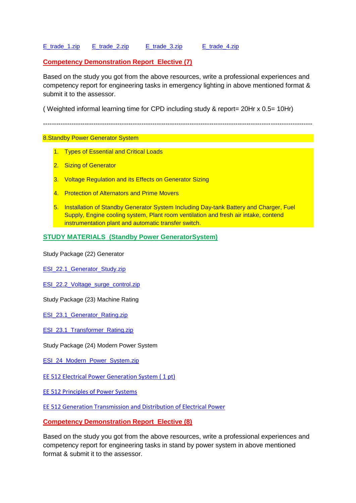## [E\\_trade\\_1.zip](http://advanceddiplomastage4b.zoomshare.com/files/E_trade_1.zip) [E\\_trade\\_2.zip](http://advanceddiplomastage4b.zoomshare.com/files/E_trade_2.zip) [E\\_trade\\_3.zip](http://advanceddiplomastage4b.zoomshare.com/files/E_trade_3.zip) [E\\_trade\\_4.zip](http://advanceddiplomastage4b.zoomshare.com/files/E_trade_4.zip)

## **Competency Demonstration Report Elective (7)**

Based on the study you got from the above resources, write a professional experiences and competency report for engineering tasks in emergency lighting in above mentioned format & submit it to the assessor.

( Weighted informal learning time for CPD including study & report= 20Hr x 0.5= 10Hr)

---------------------------------------------------------------------------------------------------------------------------

#### 8.Standby Power Generator System

- 1. Types of Essential and Critical Loads
- 2. Sizing of Generator
- 3. Voltage Regulation and its Effects on Generator Sizing
- 4. Protection of Alternators and Prime Movers
- 5. Installation of Standby Generator System Including Day-tank Battery and Charger, Fuel Supply, Engine cooling system, Plant room ventilation and fresh air intake, contend instrumentation plant and automatic transfer switch.

## **STUDY MATERIALS (Standby Power GeneratorSystem)**

Study Package (22) Generator

ESI 22.1 Generator Study.zip

ESI 22.2 Voltage surge control.zip

Study Package (23) Machine Rating

[ESI\\_23.1\\_Generator\\_Rating.zip](http://esipowersystem2.zoomshare.com/files/ESI_23.1_Generator_Rating.zip)

ESI 23.1 Transformer\_Rating.zip

Study Package (24) Modern Power System

ESI 24 Modern Power System.zip

[EE 512 Electrical Power Generation System \( 1 pt\)](http://www.filefactory.com/file/7i82y0haoabp/n/EE_512_Electrical_Power_Generation_System_pdf)

EE [512 Principles of Power Systems](http://www.filefactory.com/file/njyer4bfm75/n/EE_512_Principles_of_Power_Systems_V_K_Mehta_pdf)

[EE 512 Generation Transmission and Distribution of Electrical Power](http://www.filefactory.com/file/19fg056zfegj/n/EE_512_Generation_Transmission_and_Distribution_of_Electrical_Power_pdf)

#### **Competency Demonstration Report Elective (8)**

Based on the study you got from the above resources, write a professional experiences and competency report for engineering tasks in stand by power system in above mentioned format & submit it to the assessor.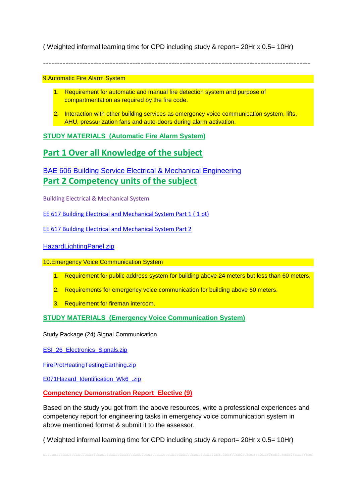( Weighted informal learning time for CPD including study & report= 20Hr x 0.5= 10Hr)

------------------------------------------------------------------------------------------------

9.Automatic Fire Alarm System

- 1. Requirement for automatic and manual fire detection system and purpose of compartmentation as required by the fire code.
- 2. Interaction with other building services as emergency voice communication system, lifts, AHU, pressurization fans and auto-doors during alarm activation.

**STUDY MATERIALS (Automatic Fire Alarm System)**

## **Part 1 Over all Knowledge of the subject**

## [BAE 606 Building Service Electrical & Mechanical Engineering](http://www.filefactory.com/file/7jjhwbjst59b/n/BAE_606_Building_Service_Electrical_amp_Mechanical_Engineering_zip) **Part 2 Competency units of the subject**

Building Electrical & Mechanical System

[EE 617 Building Electrical and Mechanical System Part 1 \( 1 pt\)](http://www.filefactory.com/file/9cjgmgktknz/EE_617_Building_Electrical_and_Mechanical_System_Part_1.pdf)

[EE 617 Building Electrical and Mechanical System Part 2](http://www.filefactory.com/file/s8inlkrp4cz/EE_617_Building_Electrical_and_Mechanical_System_Part_2.pdf)

[HazardLightingPanel.zip](http://advanceddiplomastage4c.zoomshare.com/files/HazardLightingPanel.zip)

10.Emergency Voice Communication System

- 1. Requirement for public address system for building above 24 meters but less than 60 meters.
- 2. Requirements for emergency voice communication for building above 60 meters.
- 3. Requirement for fireman intercom.

**STUDY MATERIALS (Emergency Voice Communication System)**

Study Package (24) Signal Communication

ESI 26 Electronics Signals.zip

[FireProtHeatingTestingEarthing.zip](http://advanceddiplomastage4c.zoomshare.com/files/FireProtHeatingTestingEarthing.zip)

[E071Hazard\\_Identification\\_Wk6\\_.zip](http://advanceddiplomastage4c.zoomshare.com/files/E071Hazard_Identification_Wk6_.zip)

**Competency Demonstration Report Elective (9)**

Based on the study you got from the above resources, write a professional experiences and competency report for engineering tasks in emergency voice communication system in above mentioned format & submit it to the assessor.

( Weighted informal learning time for CPD including study & report= 20Hr x 0.5= 10Hr)

---------------------------------------------------------------------------------------------------------------------------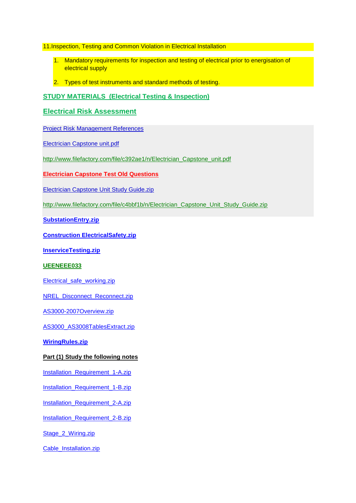11.Inspection, Testing and Common Violation in Electrical Installation

- 1. Mandatory requirements for inspection and testing of electrical prior to energisation of electrical supply
- 2. Types of test instruments and standard methods of testing.

## **STUDY MATERIALS (Electrical Testing & Inspection)**

## **[Electrical Risk Assessment](http://www.filefactory.com/file/c0eab1d/n/Electrical_Risk_Assessment.pdf)**

[Project Risk Management References](http://www.filefactory.com/file/ji94erp6pil/n/Risk_Management_zip)

[Electrician Capstone unit.pdf](http://www.filefactory.com/file/c392ae1/n/Electrician_Capstone_unit.pdf)

[http://www.filefactory.com/file/c392ae1/n/Electrician\\_Capstone\\_unit.pdf](http://www.filefactory.com/file/c392ae1/n/Electrician_Capstone_unit.pdf)

#### **[Electrician Capstone Test Old Questions](http://www.filefactory.com/file/c427d9b/n/Capstone_test_information_zip)**

[Electrician Capstone Unit Study Guide.zip](http://www.filefactory.com/file/c4bbf1b/n/Electrician_Capstone_Unit_Study_Guide.zip)

[http://www.filefactory.com/file/c4bbf1b/n/Electrician\\_Capstone\\_Unit\\_Study\\_Guide.zip](http://www.filefactory.com/file/c4bbf1b/n/Electrician_Capstone_Unit_Study_Guide.zip)

**[SubstationEntry.zip](http://16065.zoomshare.com/files/SubstationEntry.zip)**

**[Construction ElectricalSafety.zip](http://15000.zoomshare.com/files/ConstructionElectricalSafety.zip)**

**[InserviceTesting.zip](http://15000.zoomshare.com/files/InserviceTesting.zip)**

#### **UEENEEE033**

[Electrical\\_safe\\_working.zip](http://advanceddiplomastage4a.zoomshare.com/files/Electrical_safe_working.zip)

NREL Disconnect Reconnect.zip

[AS3000-2007Overview.zip](http://advanceddiplomastage4b.zoomshare.com/files/AS3000-2007Overview.zip)

[AS3000\\_AS3008TablesExtract.zip](http://advanceddiplomastage4b.zoomshare.com/files/AS3000_AS3008TablesExtract.zip)

**[WiringRules.zip](http://15000.zoomshare.com/files/WiringRules.zip)**

#### **Part (1) Study the following notes**

[Installation\\_Requirement\\_1-A.zip](http://advanceddiplomastage4a.zoomshare.com/files/Installation_Requirement_1-A.zip)

[Installation\\_Requirement\\_1-B.zip](http://advanceddiplomastage4a.zoomshare.com/files/Installation_Requirement_1-B.zip)

[Installation\\_Requirement\\_2-A.zip](http://advanceddiplomastage4a.zoomshare.com/files/Installation_Requirement_2-A.zip)

[Installation\\_Requirement\\_2-B.zip](http://advanceddiplomastage4a.zoomshare.com/files/Installation_Requirement_2-B.zip)

[Stage\\_2\\_Wiring.zip](http://advanceddiplomastage4b.zoomshare.com/files/Stage_2_Wiring.zip)

[Cable\\_Installation.zip](http://advanceddiplomastage4a.zoomshare.com/files/Cable_Installation.zip)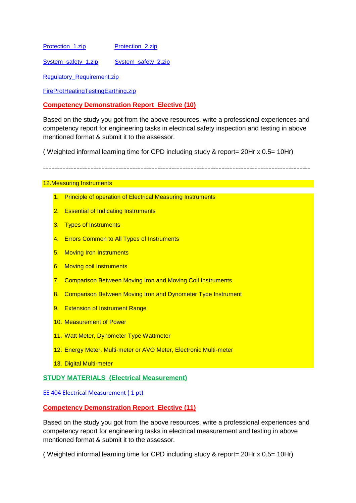[Protection\\_1.zip](http://advanceddiplomastage4a.zoomshare.com/files/Protection_1.zip) [Protection\\_2.zip](http://advanceddiplomastage4b.zoomshare.com/files/Protection_2.zip)

[System\\_safety\\_1.zip](http://advanceddiplomastage4b.zoomshare.com/files/System_safety_1.zip) [System\\_safety\\_2.zip](http://advanceddiplomastage4b.zoomshare.com/files/System_safety_2.zip)

[Regulatory\\_Requirement.zip](http://advanceddiplomastage4b.zoomshare.com/files/Regulatory_Requirement.zip)

[FireProtHeatingTestingEarthing.zip](http://advanceddiplomastage4c.zoomshare.com/files/FireProtHeatingTestingEarthing.zip)

**Competency Demonstration Report Elective (10)**

Based on the study you got from the above resources, write a professional experiences and competency report for engineering tasks in electrical safety inspection and testing in above mentioned format & submit it to the assessor.

( Weighted informal learning time for CPD including study & report= 20Hr x 0.5= 10Hr)

------------------------------------------------------------------------------------------------

#### 12.Measuring Instruments

- 1. Principle of operation of Electrical Measuring Instruments
- 2. Essential of Indicating Instruments
- 3. Types of Instruments
- 4. Errors Common to All Types of Instruments
- 5. Moving Iron Instruments
- 6. Moving coil Instruments
- 7. Comparison Between Moving Iron and Moving Coil Instruments
- 8. Comparison Between Moving Iron and Dynometer Type Instrument
- 9. Extension of Instrument Range
- 10. Measurement of Power
- 11. Watt Meter, Dynometer Type Wattmeter
- 12. Energy Meter, Multi-meter or AVO Meter, Electronic Multi-meter
- 13. Digital Multi-meter

## **STUDY MATERIALS (Electrical Measurement)**

EE 404 Electrical Measurement (1 pt)

#### **Competency Demonstration Report Elective (11)**

Based on the study you got from the above resources, write a professional experiences and competency report for engineering tasks in electrical measurement and testing in above mentioned format & submit it to the assessor.

( Weighted informal learning time for CPD including study & report= 20Hr x 0.5= 10Hr)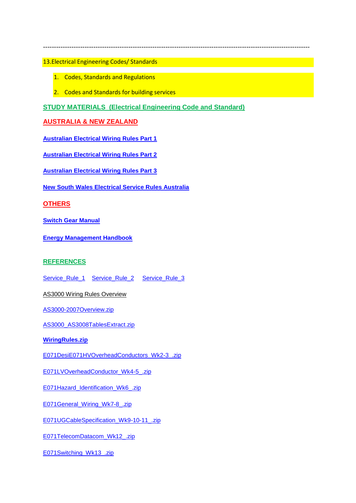13.Electrical Engineering Codes/ Standards

- 1. Codes, Standards and Regulations
- 2. Codes and Standards for building services

**STUDY MATERIALS (Electrical Engineering Code and Standard)**

--------------------------------------------------------------------------------------------------------------------------

## **AUSTRALIA & NEW ZEALAND**

**[Australian Electrical Wiring Rules Part 1](http://www.filefactory.com/file/60fdh29qekdv/n/3000-2007_A1_pdf)**

**[Australian Electrical Wiring Rules Part 2](http://www.filefactory.com/file/649tebl6zsux/n/3000-2007_A1-2009_pdf)**

**[Australian Electrical Wiring Rules Part 3](http://www.filefactory.com/file/3407jnwbhj6f/n/DR_AS_NZS_3000_AMD_1_pdf)**

**[New South Wales Electrical Service Rules Australia](http://www.filefactory.com/file/6tjr932say0j/n/NSW_Electrical_Service_Rules_zip)**

**OTHERS**

**[Switch Gear Manual](http://www.filefactory.com/file/1f618ly6lw0b/n/Switchgear_Manual_Online_pdf)**

**[Energy Management Handbook](http://www.filefactory.com/file/2n25in12tum9/n/Energy_Management_Handbook_6E_pdf)**

## **REFERENCES**

[Service\\_Rule\\_1](http://powerteaching.zoomshare.com/files/Service_Rule_1.zip) [Service\\_Rule\\_2](http://powerteaching.zoomshare.com/files/Service_Rule_2.zip) [Service\\_Rule\\_3](http://powerteaching.zoomshare.com/files/Service_Rule_3.zip)

AS3000 Wiring Rules Overview

[AS3000-2007Overview.zip](http://advanceddiplomastage4b.zoomshare.com/files/AS3000-2007Overview.zip)

[AS3000\\_AS3008TablesExtract.zip](http://advanceddiplomastage4b.zoomshare.com/files/AS3000_AS3008TablesExtract.zip)

**[WiringRules.zip](http://15000.zoomshare.com/files/WiringRules.zip)**

[E071DesiE071HVOverheadConductors\\_Wk2-3\\_.zip](http://advanceddiplomastage4c.zoomshare.com/files/E071DesiE071HVOverheadConductors_Wk2-3_.zip)

[E071LVOverheadConductor\\_Wk4-5\\_.zip](http://advanceddiplomastage4c.zoomshare.com/files/E071LVOverheadConductor_Wk4-5_.zip)

[E071Hazard\\_Identification\\_Wk6\\_.zip](http://advanceddiplomastage4c.zoomshare.com/files/E071Hazard_Identification_Wk6_.zip)

[E071General\\_Wiring\\_Wk7-8\\_.zip](http://advanceddiplomastage4c.zoomshare.com/files/E071General_Wiring_Wk7-8_.zip)

[E071UGCableSpecification\\_Wk9-10-11\\_.zip](http://advanceddiplomastage4c.zoomshare.com/files/E071UGCableSpecification_Wk9-10-11_.zip)

[E071TelecomDatacom\\_Wk12\\_.zip](http://advanceddiplomastage4c.zoomshare.com/files/E071TelecomDatacom_Wk12_.zip)

[E071Switching\\_Wk13\\_.zip](http://advanceddiplomastage4c.zoomshare.com/files/E071Switching_Wk13_.zip)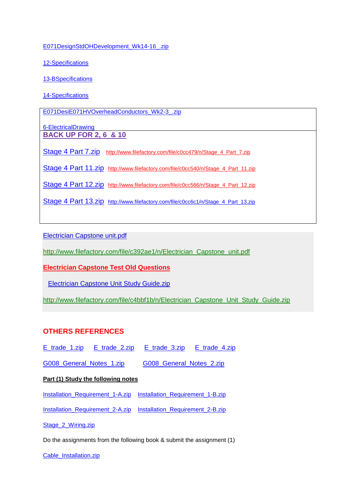[E071DesignStdOHDevelopment\\_Wk14-16\\_.zip](http://advanceddiplomastage4c.zoomshare.com/files/E071DesignStdOHDevelopment_Wk14-16_.zip)

[12-Specifications](http://powerteaching.zoomshare.com/files/12-Specifications.zip)

[13-BSpecifications](http://powerteaching.zoomshare.com/files/13-BSpecifications.zip)

[14-Specifications](http://powerteaching.zoomshare.com/files/14-Specifications.zip)

E071DesiE071HVOverheadConductors\_Wk2-3\_.zip

[6-ElectricalDrawing](http://powerteaching.zoomshare.com/files/6-ElectricalDrawing.zip) **BACK UP FOR 2, 6 & 10**

[Stage 4 Part 7.zip](http://www.filefactory.com/file/c0cc479/n/Stage_4_Part_7.zip) http://www.filefactory.com/file/c0cc479/n/Stage 4 Part 7.zip

[Stage 4 Part 11.zip](http://www.filefactory.com/file/c0cc540/n/Stage_4_Part_11.zip) [http://www.filefactory.com/file/c0cc540/n/Stage\\_4\\_Part\\_11.zip](http://www.filefactory.com/file/c0cc540/n/Stage_4_Part_11.zip)

[Stage 4 Part 12.zip](http://www.filefactory.com/file/c0cc566/n/Stage_4_Part_12.zip) http://www.filefactory.com/file/c0cc566/n/Stage 4 Part 12.zip

[Stage 4 Part 13.zip](http://www.filefactory.com/file/c0cc6c1/n/Stage_4_Part_13.zip) [http://www.filefactory.com/file/c0cc6c1/n/Stage\\_4\\_Part\\_13.zip](http://www.filefactory.com/file/c0cc6c1/n/Stage_4_Part_13.zip)

[Electrician Capstone unit.pdf](http://www.filefactory.com/file/c392ae1/n/Electrician_Capstone_unit.pdf)

[http://www.filefactory.com/file/c392ae1/n/Electrician\\_Capstone\\_unit.pdf](http://www.filefactory.com/file/c392ae1/n/Electrician_Capstone_unit.pdf)

**[Electrician Capstone Test Old Questions](http://www.filefactory.com/file/c427d9b/n/Capstone_test_information_zip)**

[Electrician Capstone Unit Study Guide.zip](http://www.filefactory.com/file/c4bbf1b/n/Electrician_Capstone_Unit_Study_Guide.zip)

[http://www.filefactory.com/file/c4bbf1b/n/Electrician\\_Capstone\\_Unit\\_Study\\_Guide.zip](http://www.filefactory.com/file/c4bbf1b/n/Electrician_Capstone_Unit_Study_Guide.zip)

## **OTHERS REFERENCES**

[E\\_trade\\_1.zip](http://advanceddiplomastage4b.zoomshare.com/files/E_trade_1.zip) [E\\_trade\\_2.zip](http://advanceddiplomastage4b.zoomshare.com/files/E_trade_2.zip) [E\\_trade\\_3.zip](http://advanceddiplomastage4b.zoomshare.com/files/E_trade_3.zip) [E\\_trade\\_4.zip](http://advanceddiplomastage4b.zoomshare.com/files/E_trade_4.zip)

G008 General Notes 1.zip G008 General Notes 2.zip

#### **Part (1) Study the following notes**

[Installation\\_Requirement\\_1-A.zip](http://advanceddiplomastage4a.zoomshare.com/files/Installation_Requirement_1-A.zip) [Installation\\_Requirement\\_1-B.zip](http://advanceddiplomastage4a.zoomshare.com/files/Installation_Requirement_1-B.zip)

[Installation\\_Requirement\\_2-A.zip](http://advanceddiplomastage4a.zoomshare.com/files/Installation_Requirement_2-A.zip) [Installation\\_Requirement\\_2-B.zip](http://advanceddiplomastage4a.zoomshare.com/files/Installation_Requirement_2-B.zip)

[Stage\\_2\\_Wiring.zip](http://advanceddiplomastage4b.zoomshare.com/files/Stage_2_Wiring.zip)

Do the assignments from the following book & submit the assignment (1)

[Cable\\_Installation.zip](http://advanceddiplomastage4a.zoomshare.com/files/Cable_Installation.zip)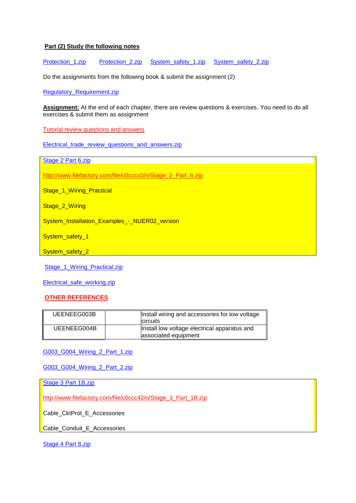#### **Part (2) Study the following notes**

[Protection\\_1.zip](http://advanceddiplomastage4a.zoomshare.com/files/Protection_1.zip) [Protection\\_2.zip](http://advanceddiplomastage4b.zoomshare.com/files/Protection_2.zip) [System\\_safety\\_1.zip](http://advanceddiplomastage4b.zoomshare.com/files/System_safety_1.zip) [System\\_safety\\_2.zip](http://advanceddiplomastage4b.zoomshare.com/files/System_safety_2.zip)

Do the assignments from the following book & submit the assignment (2)

[Regulatory\\_Requirement.zip](http://advanceddiplomastage4b.zoomshare.com/files/Regulatory_Requirement.zip)

**Assignment:** At the end of each chapter, there are review questions & exercises. You need to do all exercises & submit them as assignment

Tutorial review questions and answers

[Electrical\\_trade\\_review\\_questions\\_and\\_answers.zip](http://advanceddiplomastage4b.zoomshare.com/files/Electrical_trade_review_questions_and_answers.zip)

[Stage 2 Part 6.zip](http://www.filefactory.com/file/c0cccc0/n/Stage_2_Part_6.zip)

[http://www.filefactory.com/file/c0cccc0/n/Stage\\_2\\_Part\\_6.zip](http://www.filefactory.com/file/c0cccc0/n/Stage_2_Part_6.zip)

Stage 1 Wiring Practical

Stage 2 Wiring

System\_Installation\_Examples -\_ NUER02\_version

System\_safety\_1

System\_safety\_2

[Stage\\_1\\_Wiring\\_Practical.zip](http://advanceddiplomastage4b.zoomshare.com/files/Stage_1_Wiring_Practical.zip)

[Electrical\\_safe\\_working.zip](http://advanceddiplomastage4a.zoomshare.com/files/Electrical_safe_working.zip)

#### **OTHER REFERENCES**

| UEENEEG003B | Install wiring and accessories for low voltage<br><b>circuits</b>    |
|-------------|----------------------------------------------------------------------|
| UEENEEG004B | Install low voltage electrical apparatus and<br>associated equipment |

#### [G003\\_G004\\_Wiring\\_2\\_Part\\_1.zip](http://advanceddiplomastage4b.zoomshare.com/files/G003_G004_Wiring_2_Part_1.zip)

G003\_G004\_Wiring\_2\_Part\_2.zip

[Stage 3 Part 1B.zip](http://www.filefactory.com/file/c0ccc42/n/Stage_3_Part_1B.zip)

[http://www.filefactory.com/file/c0ccc42/n/Stage\\_3\\_Part\\_1B.zip](http://www.filefactory.com/file/c0ccc42/n/Stage_3_Part_1B.zip)

Cable\_CktProt\_E\_Accessories

Cable\_Conduit\_E\_Accessories

[Stage 4 Part 8.zip](http://www.filefactory.com/file/c0cc5a1/n/Stage_4_Part_8.zip)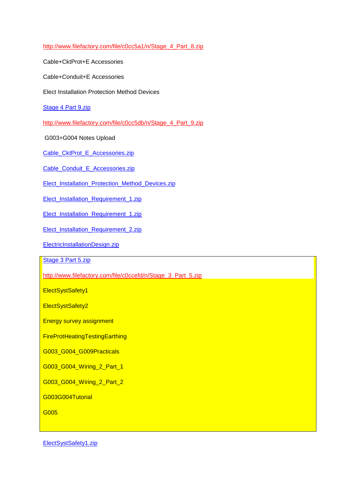[http://www.filefactory.com/file/c0cc5a1/n/Stage\\_4\\_Part\\_8.zip](http://www.filefactory.com/file/c0cc5a1/n/Stage_4_Part_8.zip)

Cable+CktProt+E Accessories

Cable+Conduit+E Accessories

Elect Installation Protection Method Devices

[Stage 4 Part 9.zip](http://www.filefactory.com/file/c0cc5db/n/Stage_4_Part_9.zip)

[http://www.filefactory.com/file/c0cc5db/n/Stage\\_4\\_Part\\_9.zip](http://www.filefactory.com/file/c0cc5db/n/Stage_4_Part_9.zip)

G003+G004 Notes Upload

[Cable\\_CktProt\\_E\\_Accessories.zip](http://advanceddiplomastage4c.zoomshare.com/files/Cable_CktProt_E_Accessories.zip)

[Cable\\_Conduit\\_E\\_Accessories.zip](http://advanceddiplomastage4c.zoomshare.com/files/Cable_Conduit_E_Accessories.zip)

[Elect\\_Installation\\_Protection\\_Method\\_Devices.zip](http://advanceddiplomastage4c.zoomshare.com/files/Elect_Installation_Protection_Method_Devices.zip)

[Elect\\_Installation\\_Requirement\\_1.zip](http://advanceddiplomastage4c.zoomshare.com/files/Elect_Installation_Requirement_1.zip)

[Elect\\_Installation\\_Requirement\\_1.zip](http://advanceddiplomastage4c.zoomshare.com/files/Elect_Installation_Requirement_1.zip)

[Elect\\_Installation\\_Requirement\\_2.zip](http://advanceddiplomastage4c.zoomshare.com/files/Elect_Installation_Requirement_2.zip)

[ElectricInstallationDesign.zip](http://advanceddiplomastage4c.zoomshare.com/files/ElectricInstallationDesign.zip)

[Stage 3 Part 5.zip](http://www.filefactory.com/file/c0ccefd/n/Stage_3_Part_5.zip)

[http://www.filefactory.com/file/c0ccefd/n/Stage\\_3\\_Part\\_5.zip](http://www.filefactory.com/file/c0ccefd/n/Stage_3_Part_5.zip)

ElectSystSafety1

ElectSystSafety2

Energy survey assignment

FireProtHeatingTestingEarthing

G003\_G004\_G009Practicals

G003\_G004\_Wiring\_2\_Part\_1

G003\_G004\_Wiring\_2\_Part\_2

G003G004Tutorial

G005

[ElectSystSafety1.zip](http://advanceddiplomastage4c.zoomshare.com/files/ElectSystSafety1.zip)